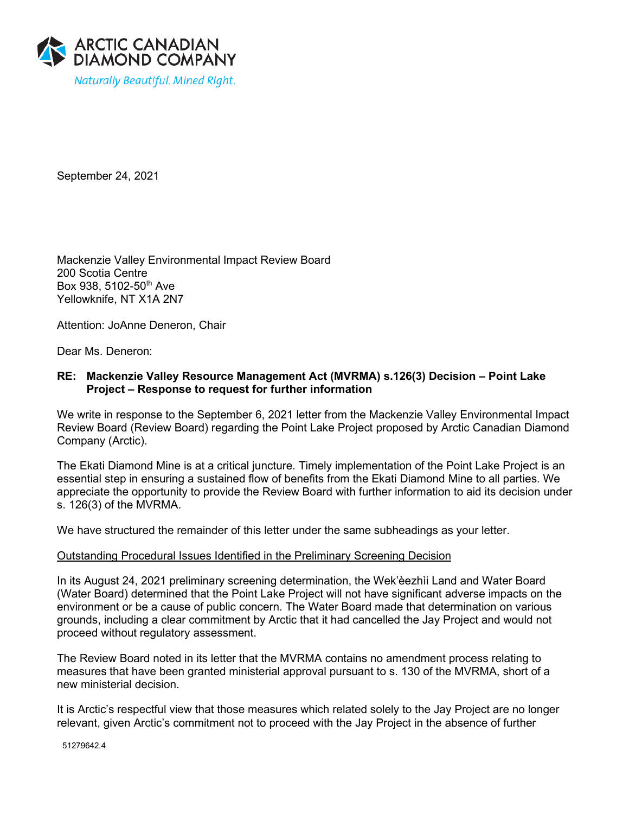

September 24, 2021

Mackenzie Valley Environmental Impact Review Board 200 Scotia Centre Box 938, 5102-50th Ave Yellowknife, NT X1A 2N7

Attention: JoAnne Deneron, Chair

Dear Ms. Deneron:

# **RE: Mackenzie Valley Resource Management Act (MVRMA) s.126(3) Decision – Point Lake Project – Response to request for further information**

We write in response to the September 6, 2021 letter from the Mackenzie Valley Environmental Impact Review Board (Review Board) regarding the Point Lake Project proposed by Arctic Canadian Diamond Company (Arctic).

The Ekati Diamond Mine is at a critical juncture. Timely implementation of the Point Lake Project is an essential step in ensuring a sustained flow of benefits from the Ekati Diamond Mine to all parties. We appreciate the opportunity to provide the Review Board with further information to aid its decision under s. 126(3) of the MVRMA.

We have structured the remainder of this letter under the same subheadings as your letter.

## Outstanding Procedural Issues Identified in the Preliminary Screening Decision

In its August 24, 2021 preliminary screening determination, the Wek'èezhìi Land and Water Board (Water Board) determined that the Point Lake Project will not have significant adverse impacts on the environment or be a cause of public concern. The Water Board made that determination on various grounds, including a clear commitment by Arctic that it had cancelled the Jay Project and would not proceed without regulatory assessment.

The Review Board noted in its letter that the MVRMA contains no amendment process relating to measures that have been granted ministerial approval pursuant to s. 130 of the MVRMA, short of a new ministerial decision.

It is Arctic's respectful view that those measures which related solely to the Jay Project are no longer relevant, given Arctic's commitment not to proceed with the Jay Project in the absence of further

51279642.4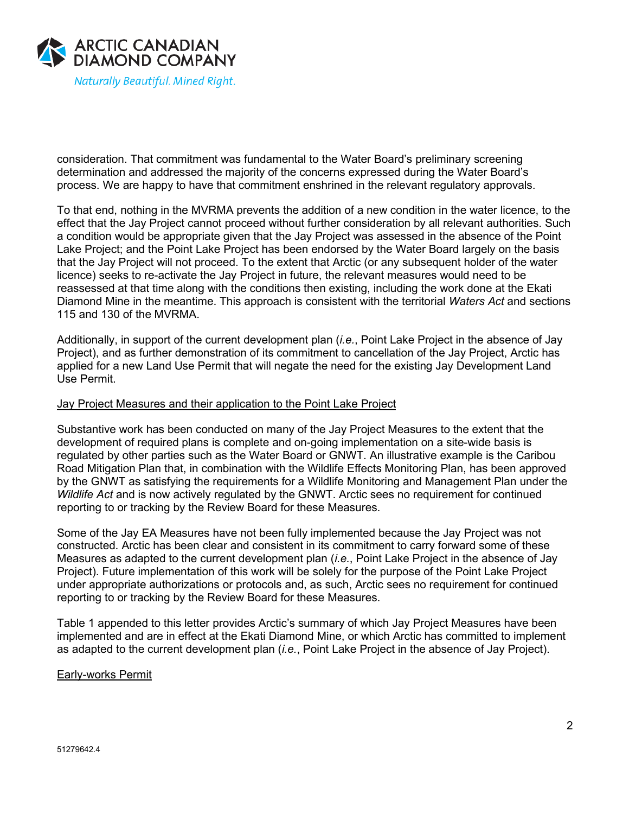

consideration. That commitment was fundamental to the Water Board's preliminary screening determination and addressed the majority of the concerns expressed during the Water Board's process. We are happy to have that commitment enshrined in the relevant regulatory approvals.

To that end, nothing in the MVRMA prevents the addition of a new condition in the water licence, to the effect that the Jay Project cannot proceed without further consideration by all relevant authorities. Such a condition would be appropriate given that the Jay Project was assessed in the absence of the Point Lake Project; and the Point Lake Project has been endorsed by the Water Board largely on the basis that the Jay Project will not proceed. To the extent that Arctic (or any subsequent holder of the water licence) seeks to re-activate the Jay Project in future, the relevant measures would need to be reassessed at that time along with the conditions then existing, including the work done at the Ekati Diamond Mine in the meantime. This approach is consistent with the territorial *Waters Act* and sections 115 and 130 of the MVRMA.

Additionally, in support of the current development plan (*i.e.*, Point Lake Project in the absence of Jay Project), and as further demonstration of its commitment to cancellation of the Jay Project, Arctic has applied for a new Land Use Permit that will negate the need for the existing Jay Development Land Use Permit.

## Jay Project Measures and their application to the Point Lake Project

Substantive work has been conducted on many of the Jay Project Measures to the extent that the development of required plans is complete and on-going implementation on a site-wide basis is regulated by other parties such as the Water Board or GNWT. An illustrative example is the Caribou Road Mitigation Plan that, in combination with the Wildlife Effects Monitoring Plan, has been approved by the GNWT as satisfying the requirements for a Wildlife Monitoring and Management Plan under the *Wildlife Act* and is now actively regulated by the GNWT. Arctic sees no requirement for continued reporting to or tracking by the Review Board for these Measures.

Some of the Jay EA Measures have not been fully implemented because the Jay Project was not constructed. Arctic has been clear and consistent in its commitment to carry forward some of these Measures as adapted to the current development plan (*i.e.*, Point Lake Project in the absence of Jay Project). Future implementation of this work will be solely for the purpose of the Point Lake Project under appropriate authorizations or protocols and, as such, Arctic sees no requirement for continued reporting to or tracking by the Review Board for these Measures.

Table 1 appended to this letter provides Arctic's summary of which Jay Project Measures have been implemented and are in effect at the Ekati Diamond Mine, or which Arctic has committed to implement as adapted to the current development plan (*i.e.*, Point Lake Project in the absence of Jay Project).

#### Early-works Permit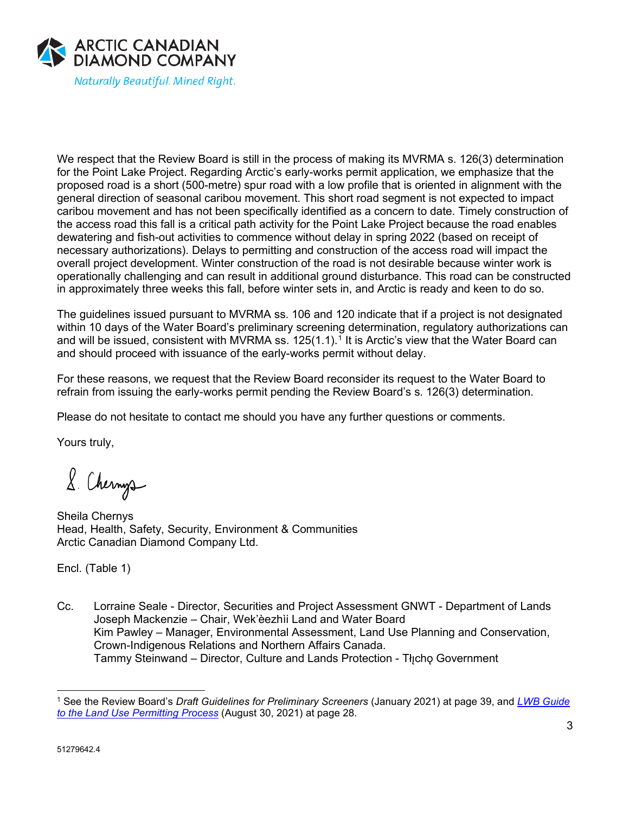

We respect that the Review Board is still in the process of making its MVRMA s. 126(3) determination for the Point Lake Project. Regarding Arctic's early-works permit application, we emphasize that the proposed road is a short (500-metre) spur road with a low profile that is oriented in alignment with the general direction of seasonal caribou movement. This short road segment is not expected to impact caribou movement and has not been specifically identified as a concern to date. Timely construction of the access road this fall is a critical path activity for the Point Lake Project because the road enables dewatering and fish-out activities to commence without delay in spring 2022 (based on receipt of necessary authorizations). Delays to permitting and construction of the access road will impact the overall project development. Winter construction of the road is not desirable because winter work is operationally challenging and can result in additional ground disturbance. This road can be constructed in approximately three weeks this fall, before winter sets in, and Arctic is ready and keen to do so.

The guidelines issued pursuant to MVRMA ss. 106 and 120 indicate that if a project is not designated within 10 days of the Water Board's preliminary screening determination, regulatory authorizations can and will be issued, consistent with MVRMA ss.  $125(1.1)$  $125(1.1)$ .<sup>1</sup> It is Arctic's view that the Water Board can and should proceed with issuance of the early-works permit without delay.

For these reasons, we request that the Review Board reconsider its request to the Water Board to refrain from issuing the early-works permit pending the Review Board's s. 126(3) determination.

Please do not hesitate to contact me should you have any further questions or comments.

Yours truly,

8. Chernys

Sheila Chernys Head, Health, Safety, Security, Environment & Communities Arctic Canadian Diamond Company Ltd.

Encl. (Table 1)

Cc. Lorraine Seale - Director, Securities and Project Assessment GNWT - Department of Lands Joseph Mackenzie – Chair, Wek'èezhìi Land and Water Board Kim Pawley – Manager, Environmental Assessment, Land Use Planning and Conservation, Crown-Indigenous Relations and Northern Affairs Canada. Tammy Steinwand – Director, Culture and Lands Protection - Tłicho Government

<span id="page-2-0"></span><sup>1</sup> See the Review Board's *Draft Guidelines for Preliminary Screeners* (January 2021) at page 39, and *[LWB Guide](https://wlwb.ca/sites/default/files/2021-08/LWB%20Guide%20to%20the%20Land%20Use%20Permitting%20Process%20-%20FINAL%20-%20Aug%2030_21.pdf)  [to the Land Use Permitting Process](https://wlwb.ca/sites/default/files/2021-08/LWB%20Guide%20to%20the%20Land%20Use%20Permitting%20Process%20-%20FINAL%20-%20Aug%2030_21.pdf)* (August 30, 2021) at page 28.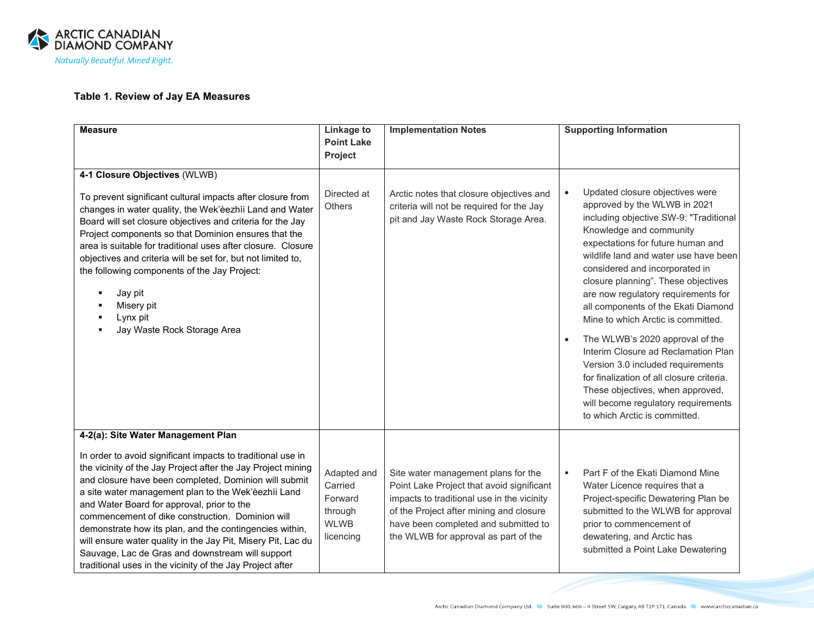

# **Table 1. Review of Jay EA Measures**

| <b>Measure</b>                                                                                                                                                                                                                                                                                                                                                                                                                                                                                                                                                                            | <b>Linkage to</b><br><b>Point Lake</b>                                   | <b>Implementation Notes</b>                                                                                                                                                                                                                               | <b>Supporting Information</b>                                                                                                                                                                                                                                                                                                                                                                                                |
|-------------------------------------------------------------------------------------------------------------------------------------------------------------------------------------------------------------------------------------------------------------------------------------------------------------------------------------------------------------------------------------------------------------------------------------------------------------------------------------------------------------------------------------------------------------------------------------------|--------------------------------------------------------------------------|-----------------------------------------------------------------------------------------------------------------------------------------------------------------------------------------------------------------------------------------------------------|------------------------------------------------------------------------------------------------------------------------------------------------------------------------------------------------------------------------------------------------------------------------------------------------------------------------------------------------------------------------------------------------------------------------------|
|                                                                                                                                                                                                                                                                                                                                                                                                                                                                                                                                                                                           | Project                                                                  |                                                                                                                                                                                                                                                           |                                                                                                                                                                                                                                                                                                                                                                                                                              |
| 4-1 Closure Objectives (WLWB)<br>To prevent significant cultural impacts after closure from<br>changes in water quality, the Wek'èezhii Land and Water<br>Board will set closure objectives and criteria for the Jay<br>Project components so that Dominion ensures that the<br>area is suitable for traditional uses after closure. Closure<br>objectives and criteria will be set for, but not limited to,<br>the following components of the Jay Project:<br>Jay pit<br>Misery pit<br>Lynx pit<br>Jay Waste Rock Storage Area                                                          | Directed at<br><b>Others</b>                                             | Arctic notes that closure objectives and<br>criteria will not be required for the Jay<br>pit and Jay Waste Rock Storage Area.                                                                                                                             | Updated closure objectives were<br>$\bullet$<br>approved by the WLWB in 2021<br>including objective SW-9: "Traditional<br>Knowledge and community<br>expectations for future human and<br>wildlife land and water use have been<br>considered and incorporated in<br>closure planning". These objectives<br>are now regulatory requirements for<br>all components of the Ekati Diamond<br>Mine to which Arctic is committed. |
|                                                                                                                                                                                                                                                                                                                                                                                                                                                                                                                                                                                           |                                                                          |                                                                                                                                                                                                                                                           | The WLWB's 2020 approval of the<br>$\bullet$<br>Interim Closure ad Reclamation Plan<br>Version 3.0 included requirements<br>for finalization of all closure criteria.<br>These objectives, when approved,<br>will become regulatory requirements<br>to which Arctic is committed.                                                                                                                                            |
| 4-2(a): Site Water Management Plan                                                                                                                                                                                                                                                                                                                                                                                                                                                                                                                                                        |                                                                          |                                                                                                                                                                                                                                                           |                                                                                                                                                                                                                                                                                                                                                                                                                              |
| In order to avoid significant impacts to traditional use in<br>the vicinity of the Jay Project after the Jay Project mining<br>and closure have been completed, Dominion will submit<br>a site water management plan to the Wek'èezhìi Land<br>and Water Board for approval, prior to the<br>commencement of dike construction. Dominion will<br>demonstrate how its plan, and the contingencies within,<br>will ensure water quality in the Jay Pit, Misery Pit, Lac du<br>Sauvage, Lac de Gras and downstream will support<br>traditional uses in the vicinity of the Jay Project after | Adapted and<br>Carried<br>Forward<br>through<br><b>WLWB</b><br>licencing | Site water management plans for the<br>Point Lake Project that avoid significant<br>impacts to traditional use in the vicinity<br>of the Project after mining and closure<br>have been completed and submitted to<br>the WLWB for approval as part of the | Part F of the Ekati Diamond Mine<br>٠<br>Water Licence requires that a<br>Project-specific Dewatering Plan be<br>submitted to the WLWB for approval<br>prior to commencement of<br>dewatering, and Arctic has<br>submitted a Point Lake Dewatering                                                                                                                                                                           |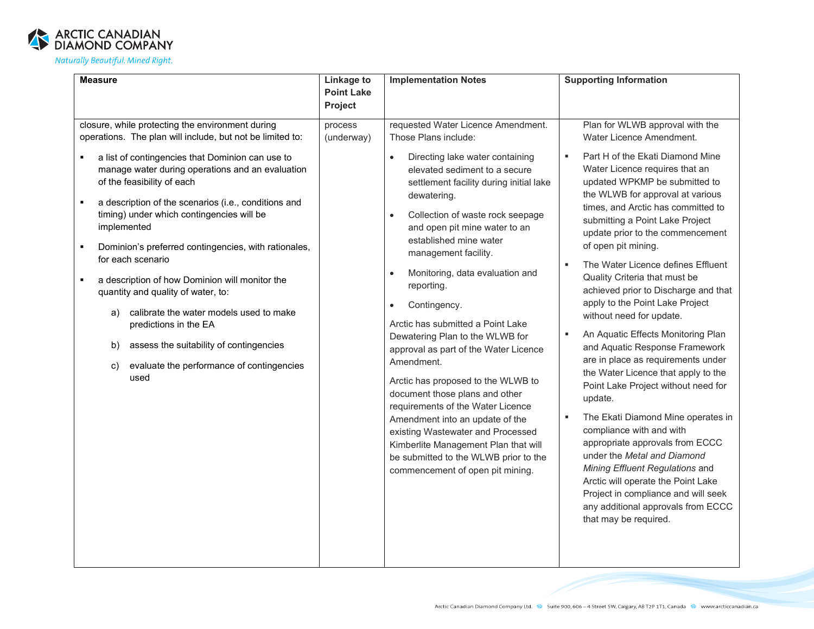

| <b>Measure</b>                                                                                                                                                                                                                                                                                                                                                                                                                                                                                                                                                                                                                                                                                                                     | Linkage to<br><b>Point Lake</b><br>Project | <b>Implementation Notes</b>                                                                                                                                                                                                                                                                                                                                                                                                                                                                                                                                                                                                                                                                                                                                                                                                                         | <b>Supporting Information</b>                                                                                                                                                                                                                                                                                                                                                                                                                                                                                                                                                                                                                                                                                                                                                                                                                                                                                                                                                                                                                                        |
|------------------------------------------------------------------------------------------------------------------------------------------------------------------------------------------------------------------------------------------------------------------------------------------------------------------------------------------------------------------------------------------------------------------------------------------------------------------------------------------------------------------------------------------------------------------------------------------------------------------------------------------------------------------------------------------------------------------------------------|--------------------------------------------|-----------------------------------------------------------------------------------------------------------------------------------------------------------------------------------------------------------------------------------------------------------------------------------------------------------------------------------------------------------------------------------------------------------------------------------------------------------------------------------------------------------------------------------------------------------------------------------------------------------------------------------------------------------------------------------------------------------------------------------------------------------------------------------------------------------------------------------------------------|----------------------------------------------------------------------------------------------------------------------------------------------------------------------------------------------------------------------------------------------------------------------------------------------------------------------------------------------------------------------------------------------------------------------------------------------------------------------------------------------------------------------------------------------------------------------------------------------------------------------------------------------------------------------------------------------------------------------------------------------------------------------------------------------------------------------------------------------------------------------------------------------------------------------------------------------------------------------------------------------------------------------------------------------------------------------|
| closure, while protecting the environment during<br>operations. The plan will include, but not be limited to:<br>a list of contingencies that Dominion can use to<br>manage water during operations and an evaluation<br>of the feasibility of each<br>a description of the scenarios (i.e., conditions and<br>timing) under which contingencies will be<br>implemented<br>Dominion's preferred contingencies, with rationales,<br>for each scenario<br>a description of how Dominion will monitor the<br>quantity and quality of water, to:<br>calibrate the water models used to make<br>a)<br>predictions in the EA<br>assess the suitability of contingencies<br>b)<br>evaluate the performance of contingencies<br>c)<br>used | process<br>(underway)                      | requested Water Licence Amendment.<br>Those Plans include:<br>Directing lake water containing<br>$\bullet$<br>elevated sediment to a secure<br>settlement facility during initial lake<br>dewatering.<br>Collection of waste rock seepage<br>$\bullet$<br>and open pit mine water to an<br>established mine water<br>management facility.<br>Monitoring, data evaluation and<br>reporting.<br>Contingency.<br>Arctic has submitted a Point Lake<br>Dewatering Plan to the WLWB for<br>approval as part of the Water Licence<br>Amendment.<br>Arctic has proposed to the WLWB to<br>document those plans and other<br>requirements of the Water Licence<br>Amendment into an update of the<br>existing Wastewater and Processed<br>Kimberlite Management Plan that will<br>be submitted to the WLWB prior to the<br>commencement of open pit mining. | Plan for WLWB approval with the<br>Water Licence Amendment.<br>Part H of the Ekati Diamond Mine<br>$\blacksquare$<br>Water Licence requires that an<br>updated WPKMP be submitted to<br>the WLWB for approval at various<br>times, and Arctic has committed to<br>submitting a Point Lake Project<br>update prior to the commencement<br>of open pit mining.<br>The Water Licence defines Effluent<br>Quality Criteria that must be<br>achieved prior to Discharge and that<br>apply to the Point Lake Project<br>without need for update.<br>An Aquatic Effects Monitoring Plan<br>and Aquatic Response Framework<br>are in place as requirements under<br>the Water Licence that apply to the<br>Point Lake Project without need for<br>update.<br>The Ekati Diamond Mine operates in<br>compliance with and with<br>appropriate approvals from ECCC<br>under the Metal and Diamond<br>Mining Effluent Regulations and<br>Arctic will operate the Point Lake<br>Project in compliance and will seek<br>any additional approvals from ECCC<br>that may be required. |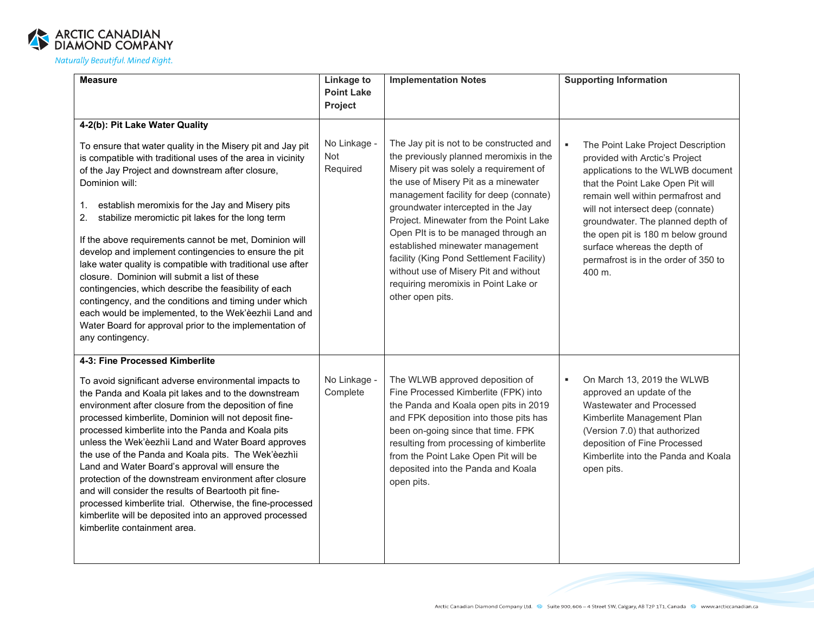

| <b>Measure</b>                                                                                                                                                                                                                                                                                                                                                                                                                                                                                                                                                                                                                                                                                                                                                                                                   | Linkage to<br><b>Point Lake</b> | <b>Implementation Notes</b>                                                                                                                                                                                                                                                                                                                                                                                                                                                                                                  | <b>Supporting Information</b>                                                                                                                                                                                                                                                                                                                                                                      |
|------------------------------------------------------------------------------------------------------------------------------------------------------------------------------------------------------------------------------------------------------------------------------------------------------------------------------------------------------------------------------------------------------------------------------------------------------------------------------------------------------------------------------------------------------------------------------------------------------------------------------------------------------------------------------------------------------------------------------------------------------------------------------------------------------------------|---------------------------------|------------------------------------------------------------------------------------------------------------------------------------------------------------------------------------------------------------------------------------------------------------------------------------------------------------------------------------------------------------------------------------------------------------------------------------------------------------------------------------------------------------------------------|----------------------------------------------------------------------------------------------------------------------------------------------------------------------------------------------------------------------------------------------------------------------------------------------------------------------------------------------------------------------------------------------------|
|                                                                                                                                                                                                                                                                                                                                                                                                                                                                                                                                                                                                                                                                                                                                                                                                                  | Project                         |                                                                                                                                                                                                                                                                                                                                                                                                                                                                                                                              |                                                                                                                                                                                                                                                                                                                                                                                                    |
| 4-2(b): Pit Lake Water Quality                                                                                                                                                                                                                                                                                                                                                                                                                                                                                                                                                                                                                                                                                                                                                                                   |                                 |                                                                                                                                                                                                                                                                                                                                                                                                                                                                                                                              |                                                                                                                                                                                                                                                                                                                                                                                                    |
| To ensure that water quality in the Misery pit and Jay pit<br>is compatible with traditional uses of the area in vicinity<br>of the Jay Project and downstream after closure,<br>Dominion will:<br>establish meromixis for the Jay and Misery pits<br>1.<br>2.<br>stabilize meromictic pit lakes for the long term<br>If the above requirements cannot be met, Dominion will<br>develop and implement contingencies to ensure the pit<br>lake water quality is compatible with traditional use after<br>closure. Dominion will submit a list of these<br>contingencies, which describe the feasibility of each<br>contingency, and the conditions and timing under which<br>each would be implemented, to the Wek'èezhìi Land and<br>Water Board for approval prior to the implementation of<br>any contingency. | No Linkage -<br>Not<br>Required | The Jay pit is not to be constructed and<br>the previously planned meromixis in the<br>Misery pit was solely a requirement of<br>the use of Misery Pit as a minewater<br>management facility for deep (connate)<br>groundwater intercepted in the Jay<br>Project. Minewater from the Point Lake<br>Open Plt is to be managed through an<br>established minewater management<br>facility (King Pond Settlement Facility)<br>without use of Misery Pit and without<br>requiring meromixis in Point Lake or<br>other open pits. | The Point Lake Project Description<br>$\bullet$<br>provided with Arctic's Project<br>applications to the WLWB document<br>that the Point Lake Open Pit will<br>remain well within permafrost and<br>will not intersect deep (connate)<br>groundwater. The planned depth of<br>the open pit is 180 m below ground<br>surface whereas the depth of<br>permafrost is in the order of 350 to<br>400 m. |
| 4-3: Fine Processed Kimberlite                                                                                                                                                                                                                                                                                                                                                                                                                                                                                                                                                                                                                                                                                                                                                                                   |                                 |                                                                                                                                                                                                                                                                                                                                                                                                                                                                                                                              |                                                                                                                                                                                                                                                                                                                                                                                                    |
| To avoid significant adverse environmental impacts to<br>the Panda and Koala pit lakes and to the downstream<br>environment after closure from the deposition of fine<br>processed kimberlite, Dominion will not deposit fine-<br>processed kimberlite into the Panda and Koala pits<br>unless the Wek'èezhìi Land and Water Board approves<br>the use of the Panda and Koala pits. The Wek'eezhii<br>Land and Water Board's approval will ensure the<br>protection of the downstream environment after closure<br>and will consider the results of Beartooth pit fine-<br>processed kimberlite trial. Otherwise, the fine-processed<br>kimberlite will be deposited into an approved processed<br>kimberlite containment area.                                                                                  | No Linkage -<br>Complete        | The WLWB approved deposition of<br>Fine Processed Kimberlite (FPK) into<br>the Panda and Koala open pits in 2019<br>and FPK deposition into those pits has<br>been on-going since that time. FPK<br>resulting from processing of kimberlite<br>from the Point Lake Open Pit will be<br>deposited into the Panda and Koala<br>open pits.                                                                                                                                                                                      | On March 13, 2019 the WLWB<br>٠<br>approved an update of the<br>Wastewater and Processed<br>Kimberlite Management Plan<br>(Version 7.0) that authorized<br>deposition of Fine Processed<br>Kimberlite into the Panda and Koala<br>open pits.                                                                                                                                                       |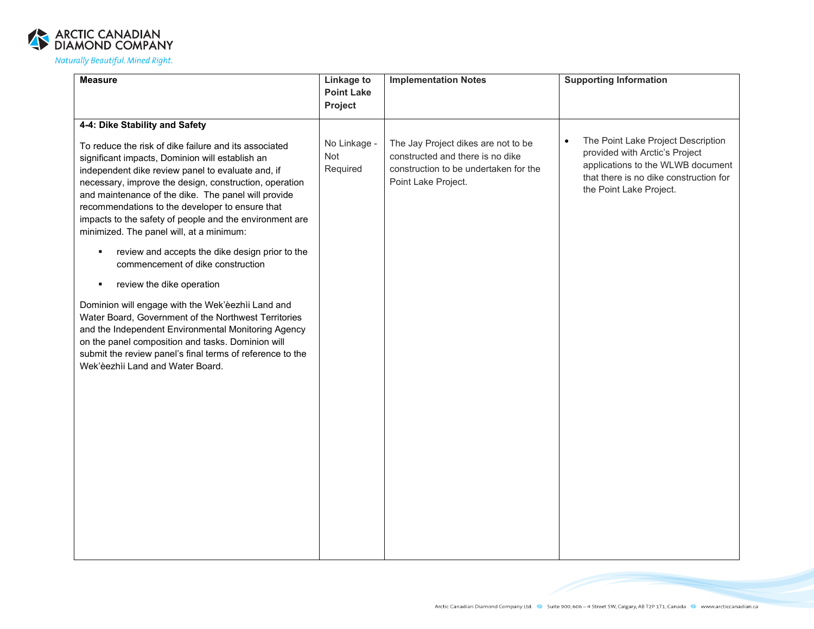

| <b>Measure</b>                                                                                                                                                                                                                                                                                                                                                                                                                                                                                                                                                                                                                                                                                                                                                                                                                                                                                                                 | <b>Linkage to</b>               | <b>Implementation Notes</b>                                                                                                             | <b>Supporting Information</b>                                                                                                                                                               |
|--------------------------------------------------------------------------------------------------------------------------------------------------------------------------------------------------------------------------------------------------------------------------------------------------------------------------------------------------------------------------------------------------------------------------------------------------------------------------------------------------------------------------------------------------------------------------------------------------------------------------------------------------------------------------------------------------------------------------------------------------------------------------------------------------------------------------------------------------------------------------------------------------------------------------------|---------------------------------|-----------------------------------------------------------------------------------------------------------------------------------------|---------------------------------------------------------------------------------------------------------------------------------------------------------------------------------------------|
|                                                                                                                                                                                                                                                                                                                                                                                                                                                                                                                                                                                                                                                                                                                                                                                                                                                                                                                                | <b>Point Lake</b><br>Project    |                                                                                                                                         |                                                                                                                                                                                             |
|                                                                                                                                                                                                                                                                                                                                                                                                                                                                                                                                                                                                                                                                                                                                                                                                                                                                                                                                |                                 |                                                                                                                                         |                                                                                                                                                                                             |
| 4-4: Dike Stability and Safety<br>To reduce the risk of dike failure and its associated<br>significant impacts, Dominion will establish an<br>independent dike review panel to evaluate and, if<br>necessary, improve the design, construction, operation<br>and maintenance of the dike. The panel will provide<br>recommendations to the developer to ensure that<br>impacts to the safety of people and the environment are<br>minimized. The panel will, at a minimum:<br>review and accepts the dike design prior to the<br>٠<br>commencement of dike construction<br>review the dike operation<br>Dominion will engage with the Wek'èezhìi Land and<br>Water Board, Government of the Northwest Territories<br>and the Independent Environmental Monitoring Agency<br>on the panel composition and tasks. Dominion will<br>submit the review panel's final terms of reference to the<br>Wek'èezhìi Land and Water Board. | No Linkage -<br>Not<br>Required | The Jay Project dikes are not to be<br>constructed and there is no dike<br>construction to be undertaken for the<br>Point Lake Project. | The Point Lake Project Description<br>$\bullet$<br>provided with Arctic's Project<br>applications to the WLWB document<br>that there is no dike construction for<br>the Point Lake Project. |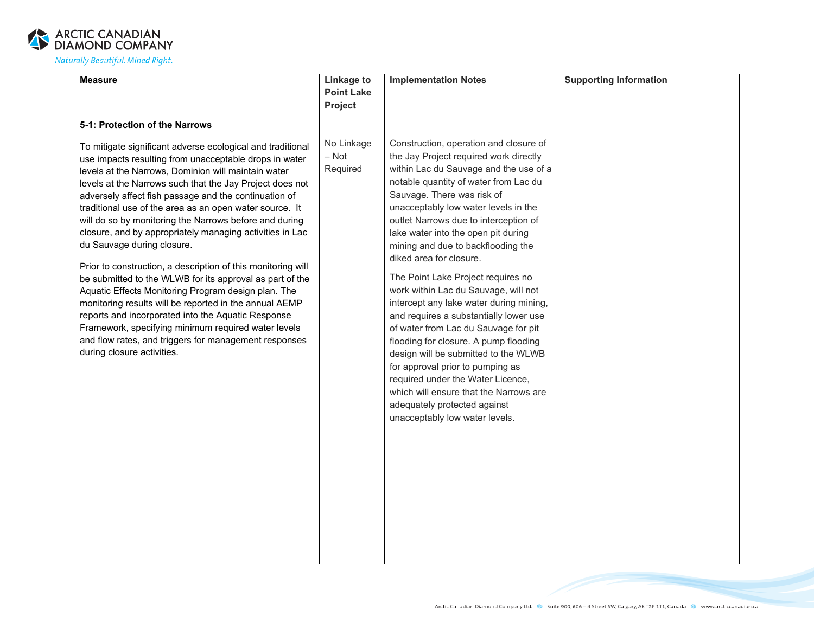

| <b>Measure</b>                                                                                                                                                                                                                                                                                                                                                                                                                                                                                                                                                                                                                                                                                                                                                                                                                                                                                                                                                   | <b>Linkage to</b>                 | <b>Implementation Notes</b>                                                                                                                                                                                                                                                                                                                                                                                                                                                                                                                                                                                                                                                                                                                                                                                                                                                 | <b>Supporting Information</b> |
|------------------------------------------------------------------------------------------------------------------------------------------------------------------------------------------------------------------------------------------------------------------------------------------------------------------------------------------------------------------------------------------------------------------------------------------------------------------------------------------------------------------------------------------------------------------------------------------------------------------------------------------------------------------------------------------------------------------------------------------------------------------------------------------------------------------------------------------------------------------------------------------------------------------------------------------------------------------|-----------------------------------|-----------------------------------------------------------------------------------------------------------------------------------------------------------------------------------------------------------------------------------------------------------------------------------------------------------------------------------------------------------------------------------------------------------------------------------------------------------------------------------------------------------------------------------------------------------------------------------------------------------------------------------------------------------------------------------------------------------------------------------------------------------------------------------------------------------------------------------------------------------------------------|-------------------------------|
|                                                                                                                                                                                                                                                                                                                                                                                                                                                                                                                                                                                                                                                                                                                                                                                                                                                                                                                                                                  | <b>Point Lake</b>                 |                                                                                                                                                                                                                                                                                                                                                                                                                                                                                                                                                                                                                                                                                                                                                                                                                                                                             |                               |
|                                                                                                                                                                                                                                                                                                                                                                                                                                                                                                                                                                                                                                                                                                                                                                                                                                                                                                                                                                  | Project                           |                                                                                                                                                                                                                                                                                                                                                                                                                                                                                                                                                                                                                                                                                                                                                                                                                                                                             |                               |
| 5-1: Protection of the Narrows                                                                                                                                                                                                                                                                                                                                                                                                                                                                                                                                                                                                                                                                                                                                                                                                                                                                                                                                   |                                   |                                                                                                                                                                                                                                                                                                                                                                                                                                                                                                                                                                                                                                                                                                                                                                                                                                                                             |                               |
| To mitigate significant adverse ecological and traditional<br>use impacts resulting from unacceptable drops in water<br>levels at the Narrows, Dominion will maintain water<br>levels at the Narrows such that the Jay Project does not<br>adversely affect fish passage and the continuation of<br>traditional use of the area as an open water source. It<br>will do so by monitoring the Narrows before and during<br>closure, and by appropriately managing activities in Lac<br>du Sauvage during closure.<br>Prior to construction, a description of this monitoring will<br>be submitted to the WLWB for its approval as part of the<br>Aquatic Effects Monitoring Program design plan. The<br>monitoring results will be reported in the annual AEMP<br>reports and incorporated into the Aquatic Response<br>Framework, specifying minimum required water levels<br>and flow rates, and triggers for management responses<br>during closure activities. | No Linkage<br>$-$ Not<br>Required | Construction, operation and closure of<br>the Jay Project required work directly<br>within Lac du Sauvage and the use of a<br>notable quantity of water from Lac du<br>Sauvage. There was risk of<br>unacceptably low water levels in the<br>outlet Narrows due to interception of<br>lake water into the open pit during<br>mining and due to backflooding the<br>diked area for closure.<br>The Point Lake Project requires no<br>work within Lac du Sauvage, will not<br>intercept any lake water during mining,<br>and requires a substantially lower use<br>of water from Lac du Sauvage for pit<br>flooding for closure. A pump flooding<br>design will be submitted to the WLWB<br>for approval prior to pumping as<br>required under the Water Licence,<br>which will ensure that the Narrows are<br>adequately protected against<br>unacceptably low water levels. |                               |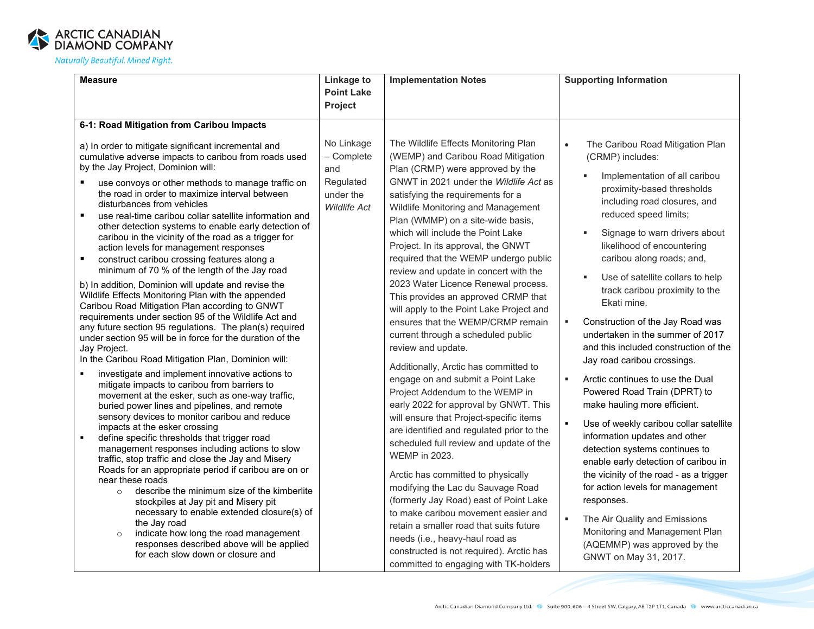

| <b>Measure</b>                                                                                                                                                                                                                                                                                                                                                                                                                                                                                                                                                                                                                                                                                                                                                                                                                                                                                                                                                                                                                                                                                                                                                                                                                                                                                                                                                                                                                                                                                                                                                                                                                                                                                                                                                                                                                                                                                                             | <b>Linkage to</b>                                                                | <b>Implementation Notes</b>                                                                                                                                                                                                                                                                                                                                                                                                                                                                                                                                                                                                                                                                                                                                                                                                                                                                                                                                                                                                                                                                                                                                                                                                                                                                                          | <b>Supporting Information</b>                                                                                                                                                                                                                                                                                                                                                                                                                                                                                                                                                                                                                                                                                                                                                                                                                                                                                                                                                                                               |
|----------------------------------------------------------------------------------------------------------------------------------------------------------------------------------------------------------------------------------------------------------------------------------------------------------------------------------------------------------------------------------------------------------------------------------------------------------------------------------------------------------------------------------------------------------------------------------------------------------------------------------------------------------------------------------------------------------------------------------------------------------------------------------------------------------------------------------------------------------------------------------------------------------------------------------------------------------------------------------------------------------------------------------------------------------------------------------------------------------------------------------------------------------------------------------------------------------------------------------------------------------------------------------------------------------------------------------------------------------------------------------------------------------------------------------------------------------------------------------------------------------------------------------------------------------------------------------------------------------------------------------------------------------------------------------------------------------------------------------------------------------------------------------------------------------------------------------------------------------------------------------------------------------------------------|----------------------------------------------------------------------------------|----------------------------------------------------------------------------------------------------------------------------------------------------------------------------------------------------------------------------------------------------------------------------------------------------------------------------------------------------------------------------------------------------------------------------------------------------------------------------------------------------------------------------------------------------------------------------------------------------------------------------------------------------------------------------------------------------------------------------------------------------------------------------------------------------------------------------------------------------------------------------------------------------------------------------------------------------------------------------------------------------------------------------------------------------------------------------------------------------------------------------------------------------------------------------------------------------------------------------------------------------------------------------------------------------------------------|-----------------------------------------------------------------------------------------------------------------------------------------------------------------------------------------------------------------------------------------------------------------------------------------------------------------------------------------------------------------------------------------------------------------------------------------------------------------------------------------------------------------------------------------------------------------------------------------------------------------------------------------------------------------------------------------------------------------------------------------------------------------------------------------------------------------------------------------------------------------------------------------------------------------------------------------------------------------------------------------------------------------------------|
|                                                                                                                                                                                                                                                                                                                                                                                                                                                                                                                                                                                                                                                                                                                                                                                                                                                                                                                                                                                                                                                                                                                                                                                                                                                                                                                                                                                                                                                                                                                                                                                                                                                                                                                                                                                                                                                                                                                            | <b>Point Lake</b><br><b>Project</b>                                              |                                                                                                                                                                                                                                                                                                                                                                                                                                                                                                                                                                                                                                                                                                                                                                                                                                                                                                                                                                                                                                                                                                                                                                                                                                                                                                                      |                                                                                                                                                                                                                                                                                                                                                                                                                                                                                                                                                                                                                                                                                                                                                                                                                                                                                                                                                                                                                             |
| 6-1: Road Mitigation from Caribou Impacts                                                                                                                                                                                                                                                                                                                                                                                                                                                                                                                                                                                                                                                                                                                                                                                                                                                                                                                                                                                                                                                                                                                                                                                                                                                                                                                                                                                                                                                                                                                                                                                                                                                                                                                                                                                                                                                                                  |                                                                                  |                                                                                                                                                                                                                                                                                                                                                                                                                                                                                                                                                                                                                                                                                                                                                                                                                                                                                                                                                                                                                                                                                                                                                                                                                                                                                                                      |                                                                                                                                                                                                                                                                                                                                                                                                                                                                                                                                                                                                                                                                                                                                                                                                                                                                                                                                                                                                                             |
| a) In order to mitigate significant incremental and<br>cumulative adverse impacts to caribou from roads used<br>by the Jay Project, Dominion will:<br>use convoys or other methods to manage traffic on<br>the road in order to maximize interval between<br>disturbances from vehicles<br>$\blacksquare$<br>use real-time caribou collar satellite information and<br>other detection systems to enable early detection of<br>caribou in the vicinity of the road as a trigger for<br>action levels for management responses<br>construct caribou crossing features along a<br>$\blacksquare$<br>minimum of 70 % of the length of the Jay road<br>b) In addition, Dominion will update and revise the<br>Wildlife Effects Monitoring Plan with the appended<br>Caribou Road Mitigation Plan according to GNWT<br>requirements under section 95 of the Wildlife Act and<br>any future section 95 regulations. The plan(s) required<br>under section 95 will be in force for the duration of the<br>Jay Project.<br>In the Caribou Road Mitigation Plan, Dominion will:<br>investigate and implement innovative actions to<br>mitigate impacts to caribou from barriers to<br>movement at the esker, such as one-way traffic,<br>buried power lines and pipelines, and remote<br>sensory devices to monitor caribou and reduce<br>impacts at the esker crossing<br>define specific thresholds that trigger road<br>$\blacksquare$<br>management responses including actions to slow<br>traffic, stop traffic and close the Jay and Misery<br>Roads for an appropriate period if caribou are on or<br>near these roads<br>describe the minimum size of the kimberlite<br>$\circ$<br>stockpiles at Jay pit and Misery pit<br>necessary to enable extended closure(s) of<br>the Jay road<br>indicate how long the road management<br>$\circ$<br>responses described above will be applied<br>for each slow down or closure and | No Linkage<br>- Complete<br>and<br>Regulated<br>under the<br><b>Wildlife Act</b> | The Wildlife Effects Monitoring Plan<br>(WEMP) and Caribou Road Mitigation<br>Plan (CRMP) were approved by the<br>GNWT in 2021 under the Wildlife Act as<br>satisfying the requirements for a<br>Wildlife Monitoring and Management<br>Plan (WMMP) on a site-wide basis,<br>which will include the Point Lake<br>Project. In its approval, the GNWT<br>required that the WEMP undergo public<br>review and update in concert with the<br>2023 Water Licence Renewal process.<br>This provides an approved CRMP that<br>will apply to the Point Lake Project and<br>ensures that the WEMP/CRMP remain<br>current through a scheduled public<br>review and update.<br>Additionally, Arctic has committed to<br>engage on and submit a Point Lake<br>Project Addendum to the WEMP in<br>early 2022 for approval by GNWT. This<br>will ensure that Project-specific items<br>are identified and regulated prior to the<br>scheduled full review and update of the<br><b>WEMP</b> in 2023.<br>Arctic has committed to physically<br>modifying the Lac du Sauvage Road<br>(formerly Jay Road) east of Point Lake<br>to make caribou movement easier and<br>retain a smaller road that suits future<br>needs (i.e., heavy-haul road as<br>constructed is not required). Arctic has<br>committed to engaging with TK-holders | The Caribou Road Mitigation Plan<br>$\bullet$<br>(CRMP) includes:<br>Implementation of all caribou<br>proximity-based thresholds<br>including road closures, and<br>reduced speed limits;<br>Signage to warn drivers about<br>likelihood of encountering<br>caribou along roads; and,<br>Use of satellite collars to help<br>track caribou proximity to the<br>Ekati mine.<br>Construction of the Jay Road was<br>٠<br>undertaken in the summer of 2017<br>and this included construction of the<br>Jay road caribou crossings.<br>Arctic continues to use the Dual<br>×<br>Powered Road Train (DPRT) to<br>make hauling more efficient.<br>Use of weekly caribou collar satellite<br>information updates and other<br>detection systems continues to<br>enable early detection of caribou in<br>the vicinity of the road - as a trigger<br>for action levels for management<br>responses.<br>×<br>The Air Quality and Emissions<br>Monitoring and Management Plan<br>(AQEMMP) was approved by the<br>GNWT on May 31, 2017. |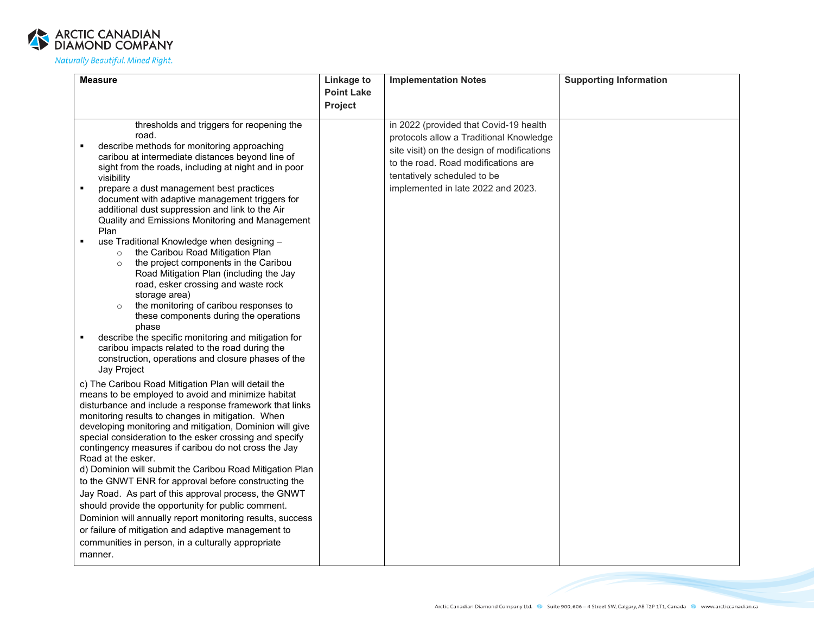

| <b>Measure</b>                                                                                                | Linkage to        | <b>Implementation Notes</b>                | <b>Supporting Information</b> |
|---------------------------------------------------------------------------------------------------------------|-------------------|--------------------------------------------|-------------------------------|
|                                                                                                               | <b>Point Lake</b> |                                            |                               |
|                                                                                                               | Project           |                                            |                               |
| thresholds and triggers for reopening the                                                                     |                   | in 2022 (provided that Covid-19 health     |                               |
| road.                                                                                                         |                   | protocols allow a Traditional Knowledge    |                               |
| describe methods for monitoring approaching                                                                   |                   |                                            |                               |
| caribou at intermediate distances beyond line of                                                              |                   | site visit) on the design of modifications |                               |
| sight from the roads, including at night and in poor                                                          |                   | to the road. Road modifications are        |                               |
| visibility                                                                                                    |                   | tentatively scheduled to be                |                               |
| $\blacksquare$<br>prepare a dust management best practices                                                    |                   | implemented in late 2022 and 2023.         |                               |
| document with adaptive management triggers for<br>additional dust suppression and link to the Air             |                   |                                            |                               |
| Quality and Emissions Monitoring and Management                                                               |                   |                                            |                               |
| Plan                                                                                                          |                   |                                            |                               |
| use Traditional Knowledge when designing -<br>٠                                                               |                   |                                            |                               |
| the Caribou Road Mitigation Plan<br>$\circ$                                                                   |                   |                                            |                               |
| the project components in the Caribou<br>$\circ$                                                              |                   |                                            |                               |
| Road Mitigation Plan (including the Jay                                                                       |                   |                                            |                               |
| road, esker crossing and waste rock                                                                           |                   |                                            |                               |
| storage area)<br>the monitoring of caribou responses to<br>$\circ$                                            |                   |                                            |                               |
| these components during the operations                                                                        |                   |                                            |                               |
| phase                                                                                                         |                   |                                            |                               |
| describe the specific monitoring and mitigation for                                                           |                   |                                            |                               |
| caribou impacts related to the road during the                                                                |                   |                                            |                               |
| construction, operations and closure phases of the                                                            |                   |                                            |                               |
| Jay Project                                                                                                   |                   |                                            |                               |
| c) The Caribou Road Mitigation Plan will detail the                                                           |                   |                                            |                               |
| means to be employed to avoid and minimize habitat<br>disturbance and include a response framework that links |                   |                                            |                               |
| monitoring results to changes in mitigation. When                                                             |                   |                                            |                               |
| developing monitoring and mitigation, Dominion will give                                                      |                   |                                            |                               |
| special consideration to the esker crossing and specify                                                       |                   |                                            |                               |
| contingency measures if caribou do not cross the Jay                                                          |                   |                                            |                               |
| Road at the esker.                                                                                            |                   |                                            |                               |
| d) Dominion will submit the Caribou Road Mitigation Plan                                                      |                   |                                            |                               |
| to the GNWT ENR for approval before constructing the                                                          |                   |                                            |                               |
| Jay Road. As part of this approval process, the GNWT                                                          |                   |                                            |                               |
| should provide the opportunity for public comment.                                                            |                   |                                            |                               |
| Dominion will annually report monitoring results, success                                                     |                   |                                            |                               |
| or failure of mitigation and adaptive management to                                                           |                   |                                            |                               |
| communities in person, in a culturally appropriate                                                            |                   |                                            |                               |
| manner.                                                                                                       |                   |                                            |                               |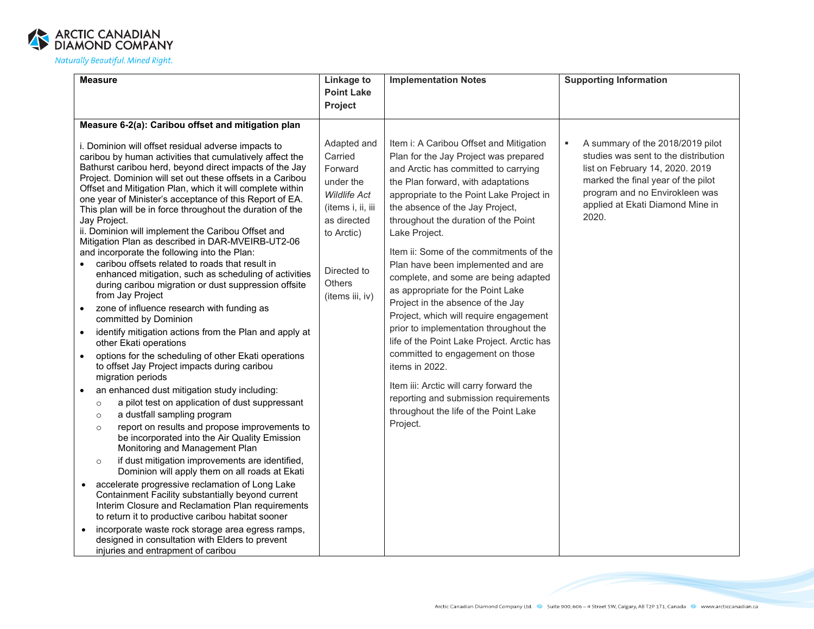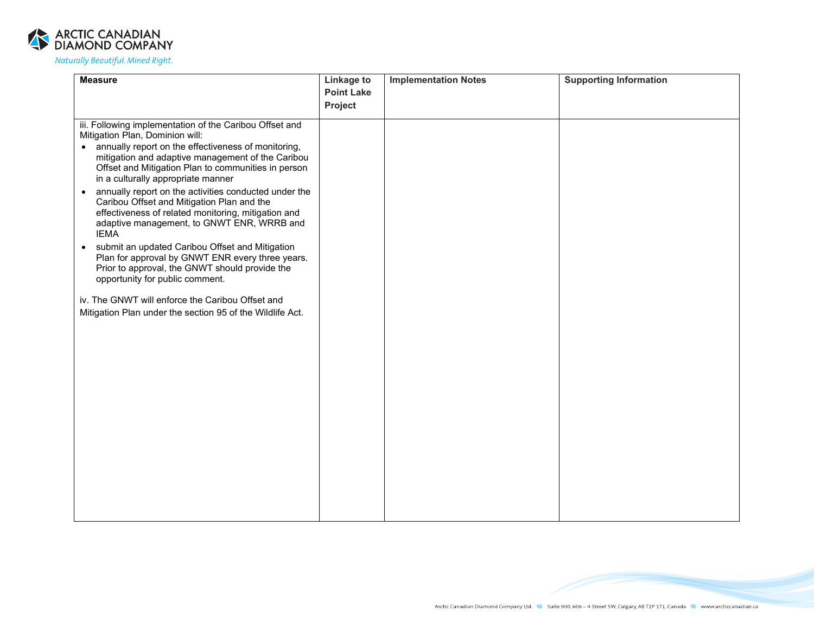

| <b>Measure</b>                                                                                                                                                                                                                       | <b>Linkage to</b> | <b>Implementation Notes</b> | <b>Supporting Information</b> |
|--------------------------------------------------------------------------------------------------------------------------------------------------------------------------------------------------------------------------------------|-------------------|-----------------------------|-------------------------------|
|                                                                                                                                                                                                                                      | <b>Point Lake</b> |                             |                               |
|                                                                                                                                                                                                                                      | Project           |                             |                               |
| iii. Following implementation of the Caribou Offset and                                                                                                                                                                              |                   |                             |                               |
| Mitigation Plan, Dominion will:                                                                                                                                                                                                      |                   |                             |                               |
| • annually report on the effectiveness of monitoring,<br>mitigation and adaptive management of the Caribou<br>Offset and Mitigation Plan to communities in person<br>in a culturally appropriate manner                              |                   |                             |                               |
| annually report on the activities conducted under the<br>$\bullet$<br>Caribou Offset and Mitigation Plan and the<br>effectiveness of related monitoring, mitigation and<br>adaptive management, to GNWT ENR, WRRB and<br><b>IEMA</b> |                   |                             |                               |
| submit an updated Caribou Offset and Mitigation<br>$\bullet$<br>Plan for approval by GNWT ENR every three years.<br>Prior to approval, the GNWT should provide the<br>opportunity for public comment.                                |                   |                             |                               |
| iv. The GNWT will enforce the Caribou Offset and                                                                                                                                                                                     |                   |                             |                               |
| Mitigation Plan under the section 95 of the Wildlife Act.                                                                                                                                                                            |                   |                             |                               |
|                                                                                                                                                                                                                                      |                   |                             |                               |
|                                                                                                                                                                                                                                      |                   |                             |                               |
|                                                                                                                                                                                                                                      |                   |                             |                               |
|                                                                                                                                                                                                                                      |                   |                             |                               |
|                                                                                                                                                                                                                                      |                   |                             |                               |
|                                                                                                                                                                                                                                      |                   |                             |                               |
|                                                                                                                                                                                                                                      |                   |                             |                               |
|                                                                                                                                                                                                                                      |                   |                             |                               |
|                                                                                                                                                                                                                                      |                   |                             |                               |
|                                                                                                                                                                                                                                      |                   |                             |                               |
|                                                                                                                                                                                                                                      |                   |                             |                               |
|                                                                                                                                                                                                                                      |                   |                             |                               |
|                                                                                                                                                                                                                                      |                   |                             |                               |
|                                                                                                                                                                                                                                      |                   |                             |                               |
|                                                                                                                                                                                                                                      |                   |                             |                               |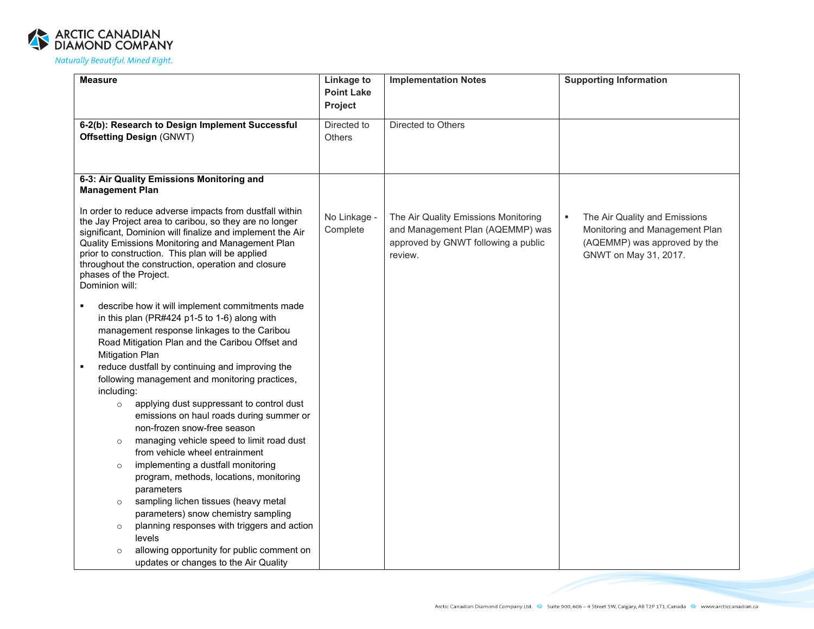

| <b>Measure</b>                                                                                                                                                                                                                                                                                                                                                                           | Linkage to<br><b>Point Lake</b><br>Project | <b>Implementation Notes</b>                                                                                                | <b>Supporting Information</b>                                                                                                 |
|------------------------------------------------------------------------------------------------------------------------------------------------------------------------------------------------------------------------------------------------------------------------------------------------------------------------------------------------------------------------------------------|--------------------------------------------|----------------------------------------------------------------------------------------------------------------------------|-------------------------------------------------------------------------------------------------------------------------------|
| 6-2(b): Research to Design Implement Successful<br><b>Offsetting Design (GNWT)</b>                                                                                                                                                                                                                                                                                                       | Directed to<br><b>Others</b>               | Directed to Others                                                                                                         |                                                                                                                               |
| 6-3: Air Quality Emissions Monitoring and<br><b>Management Plan</b>                                                                                                                                                                                                                                                                                                                      |                                            |                                                                                                                            |                                                                                                                               |
| In order to reduce adverse impacts from dustfall within<br>the Jay Project area to caribou, so they are no longer<br>significant, Dominion will finalize and implement the Air<br>Quality Emissions Monitoring and Management Plan<br>prior to construction. This plan will be applied<br>throughout the construction, operation and closure<br>phases of the Project.<br>Dominion will: | No Linkage -<br>Complete                   | The Air Quality Emissions Monitoring<br>and Management Plan (AQEMMP) was<br>approved by GNWT following a public<br>review. | The Air Quality and Emissions<br>٠<br>Monitoring and Management Plan<br>(AQEMMP) was approved by the<br>GNWT on May 31, 2017. |
| describe how it will implement commitments made<br>٠<br>in this plan (PR#424 p1-5 to 1-6) along with<br>management response linkages to the Caribou<br>Road Mitigation Plan and the Caribou Offset and<br><b>Mitigation Plan</b><br>reduce dustfall by continuing and improving the                                                                                                      |                                            |                                                                                                                            |                                                                                                                               |
| following management and monitoring practices,                                                                                                                                                                                                                                                                                                                                           |                                            |                                                                                                                            |                                                                                                                               |
| including:<br>applying dust suppressant to control dust<br>$\circ$<br>emissions on haul roads during summer or<br>non-frozen snow-free season<br>managing vehicle speed to limit road dust<br>$\circ$<br>from vehicle wheel entrainment                                                                                                                                                  |                                            |                                                                                                                            |                                                                                                                               |
| implementing a dustfall monitoring<br>$\circ$<br>program, methods, locations, monitoring<br>parameters                                                                                                                                                                                                                                                                                   |                                            |                                                                                                                            |                                                                                                                               |
| sampling lichen tissues (heavy metal<br>$\circ$<br>parameters) snow chemistry sampling                                                                                                                                                                                                                                                                                                   |                                            |                                                                                                                            |                                                                                                                               |
| planning responses with triggers and action<br>$\circ$<br>levels                                                                                                                                                                                                                                                                                                                         |                                            |                                                                                                                            |                                                                                                                               |
| allowing opportunity for public comment on<br>updates or changes to the Air Quality                                                                                                                                                                                                                                                                                                      |                                            |                                                                                                                            |                                                                                                                               |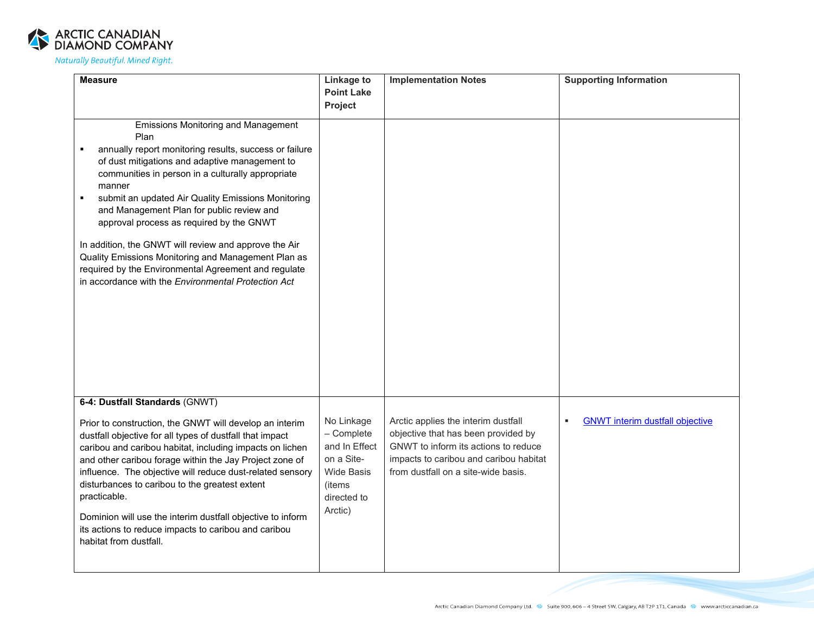

| <b>Measure</b>                                                                                                                                                                                                                                                                                                                                                                                                                                                                                                                                                                                                                | <b>Linkage to</b>                                                                                                | <b>Implementation Notes</b>                                                                                                                                                                         | <b>Supporting Information</b>               |
|-------------------------------------------------------------------------------------------------------------------------------------------------------------------------------------------------------------------------------------------------------------------------------------------------------------------------------------------------------------------------------------------------------------------------------------------------------------------------------------------------------------------------------------------------------------------------------------------------------------------------------|------------------------------------------------------------------------------------------------------------------|-----------------------------------------------------------------------------------------------------------------------------------------------------------------------------------------------------|---------------------------------------------|
|                                                                                                                                                                                                                                                                                                                                                                                                                                                                                                                                                                                                                               | <b>Point Lake</b>                                                                                                |                                                                                                                                                                                                     |                                             |
|                                                                                                                                                                                                                                                                                                                                                                                                                                                                                                                                                                                                                               | Project                                                                                                          |                                                                                                                                                                                                     |                                             |
| <b>Emissions Monitoring and Management</b><br>Plan<br>annually report monitoring results, success or failure<br>of dust mitigations and adaptive management to<br>communities in person in a culturally appropriate<br>manner<br>submit an updated Air Quality Emissions Monitoring<br>$\blacksquare$<br>and Management Plan for public review and<br>approval process as required by the GNWT<br>In addition, the GNWT will review and approve the Air<br>Quality Emissions Monitoring and Management Plan as<br>required by the Environmental Agreement and regulate<br>in accordance with the Environmental Protection Act |                                                                                                                  |                                                                                                                                                                                                     |                                             |
| 6-4: Dustfall Standards (GNWT)                                                                                                                                                                                                                                                                                                                                                                                                                                                                                                                                                                                                |                                                                                                                  |                                                                                                                                                                                                     |                                             |
| Prior to construction, the GNWT will develop an interim<br>dustfall objective for all types of dustfall that impact<br>caribou and caribou habitat, including impacts on lichen<br>and other caribou forage within the Jay Project zone of<br>influence. The objective will reduce dust-related sensory<br>disturbances to caribou to the greatest extent<br>practicable.<br>Dominion will use the interim dustfall objective to inform<br>its actions to reduce impacts to caribou and caribou<br>habitat from dustfall.                                                                                                     | No Linkage<br>- Complete<br>and In Effect<br>on a Site-<br><b>Wide Basis</b><br>(items<br>directed to<br>Arctic) | Arctic applies the interim dustfall<br>objective that has been provided by<br>GNWT to inform its actions to reduce<br>impacts to caribou and caribou habitat<br>from dustfall on a site-wide basis. | <b>GNWT</b> interim dustfall objective<br>٠ |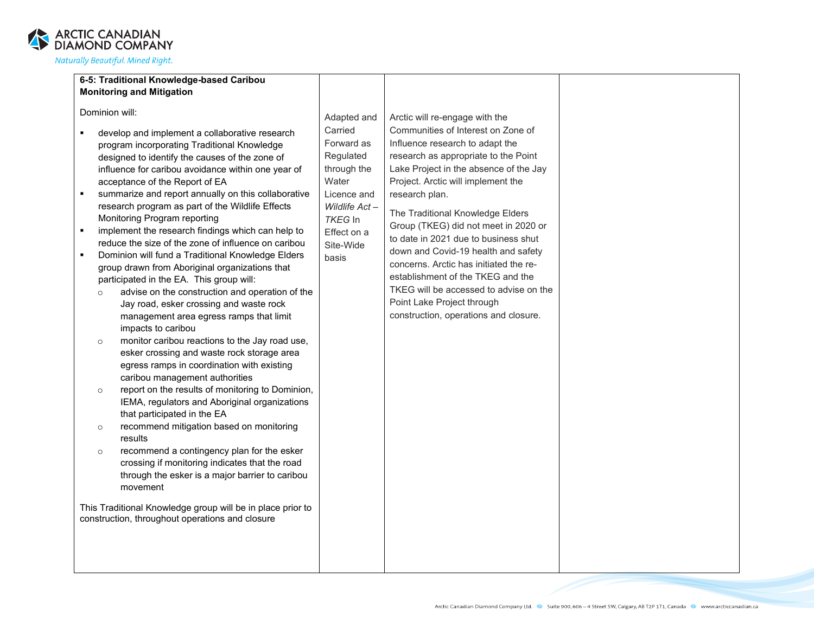

| 6-5: Traditional Knowledge-based Caribou                              |               |                                        |  |
|-----------------------------------------------------------------------|---------------|----------------------------------------|--|
| <b>Monitoring and Mitigation</b>                                      |               |                                        |  |
|                                                                       |               |                                        |  |
| Dominion will:                                                        |               |                                        |  |
|                                                                       | Adapted and   | Arctic will re-engage with the         |  |
| develop and implement a collaborative research                        | Carried       | Communities of Interest on Zone of     |  |
| program incorporating Traditional Knowledge                           | Forward as    | Influence research to adapt the        |  |
| designed to identify the causes of the zone of                        | Regulated     | research as appropriate to the Point   |  |
| influence for caribou avoidance within one year of                    | through the   | Lake Project in the absence of the Jay |  |
| acceptance of the Report of EA                                        | Water         | Project. Arctic will implement the     |  |
| summarize and report annually on this collaborative<br>$\blacksquare$ | Licence and   | research plan.                         |  |
| research program as part of the Wildlife Effects                      | Wildlife Act- |                                        |  |
| Monitoring Program reporting                                          | TKEG In       | The Traditional Knowledge Elders       |  |
| implement the research findings which can help to<br>$\blacksquare$   | Effect on a   | Group (TKEG) did not meet in 2020 or   |  |
| reduce the size of the zone of influence on caribou                   | Site-Wide     | to date in 2021 due to business shut   |  |
| Dominion will fund a Traditional Knowledge Elders<br>$\blacksquare$   | basis         | down and Covid-19 health and safety    |  |
| group drawn from Aboriginal organizations that                        |               | concerns. Arctic has initiated the re- |  |
| participated in the EA. This group will:                              |               | establishment of the TKEG and the      |  |
| advise on the construction and operation of the<br>$\circ$            |               | TKEG will be accessed to advise on the |  |
| Jay road, esker crossing and waste rock                               |               | Point Lake Project through             |  |
| management area egress ramps that limit                               |               | construction, operations and closure.  |  |
| impacts to caribou                                                    |               |                                        |  |
| monitor caribou reactions to the Jay road use,<br>$\circ$             |               |                                        |  |
| esker crossing and waste rock storage area                            |               |                                        |  |
| egress ramps in coordination with existing                            |               |                                        |  |
| caribou management authorities                                        |               |                                        |  |
| report on the results of monitoring to Dominion,<br>$\circ$           |               |                                        |  |
| IEMA, regulators and Aboriginal organizations                         |               |                                        |  |
| that participated in the EA                                           |               |                                        |  |
| recommend mitigation based on monitoring<br>$\circ$                   |               |                                        |  |
| results                                                               |               |                                        |  |
| recommend a contingency plan for the esker<br>$\circ$                 |               |                                        |  |
| crossing if monitoring indicates that the road                        |               |                                        |  |
| through the esker is a major barrier to caribou                       |               |                                        |  |
| movement                                                              |               |                                        |  |
|                                                                       |               |                                        |  |
| This Traditional Knowledge group will be in place prior to            |               |                                        |  |
| construction, throughout operations and closure                       |               |                                        |  |
|                                                                       |               |                                        |  |
|                                                                       |               |                                        |  |
|                                                                       |               |                                        |  |
|                                                                       |               |                                        |  |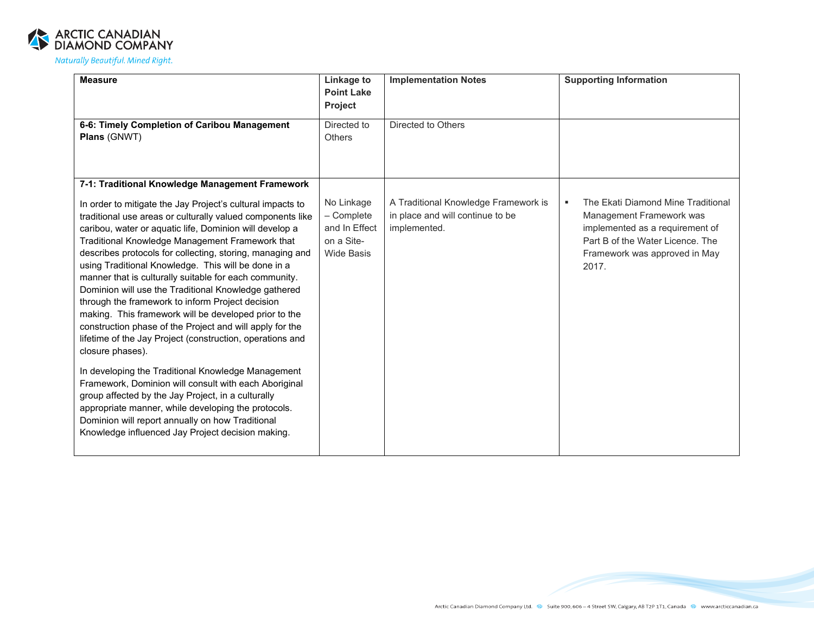

| <b>Measure</b>                                                                                                                                                                                                                                                                                                                                                                                                                                                                                                                                                                                                                                                                                                                                                                                                                                                                                                                                                                                                                                                                                                                 | Linkage to<br><b>Point Lake</b><br>Project                                   | <b>Implementation Notes</b>                                                              | <b>Supporting Information</b>                                                                                                                                                        |
|--------------------------------------------------------------------------------------------------------------------------------------------------------------------------------------------------------------------------------------------------------------------------------------------------------------------------------------------------------------------------------------------------------------------------------------------------------------------------------------------------------------------------------------------------------------------------------------------------------------------------------------------------------------------------------------------------------------------------------------------------------------------------------------------------------------------------------------------------------------------------------------------------------------------------------------------------------------------------------------------------------------------------------------------------------------------------------------------------------------------------------|------------------------------------------------------------------------------|------------------------------------------------------------------------------------------|--------------------------------------------------------------------------------------------------------------------------------------------------------------------------------------|
| 6-6: Timely Completion of Caribou Management<br>Plans (GNWT)                                                                                                                                                                                                                                                                                                                                                                                                                                                                                                                                                                                                                                                                                                                                                                                                                                                                                                                                                                                                                                                                   | Directed to<br><b>Others</b>                                                 | Directed to Others                                                                       |                                                                                                                                                                                      |
| 7-1: Traditional Knowledge Management Framework<br>In order to mitigate the Jay Project's cultural impacts to<br>traditional use areas or culturally valued components like<br>caribou, water or aquatic life, Dominion will develop a<br>Traditional Knowledge Management Framework that<br>describes protocols for collecting, storing, managing and<br>using Traditional Knowledge. This will be done in a<br>manner that is culturally suitable for each community.<br>Dominion will use the Traditional Knowledge gathered<br>through the framework to inform Project decision<br>making. This framework will be developed prior to the<br>construction phase of the Project and will apply for the<br>lifetime of the Jay Project (construction, operations and<br>closure phases).<br>In developing the Traditional Knowledge Management<br>Framework, Dominion will consult with each Aboriginal<br>group affected by the Jay Project, in a culturally<br>appropriate manner, while developing the protocols.<br>Dominion will report annually on how Traditional<br>Knowledge influenced Jay Project decision making. | No Linkage<br>- Complete<br>and In Effect<br>on a Site-<br><b>Wide Basis</b> | A Traditional Knowledge Framework is<br>in place and will continue to be<br>implemented. | The Ekati Diamond Mine Traditional<br>٠<br>Management Framework was<br>implemented as a requirement of<br>Part B of the Water Licence. The<br>Framework was approved in May<br>2017. |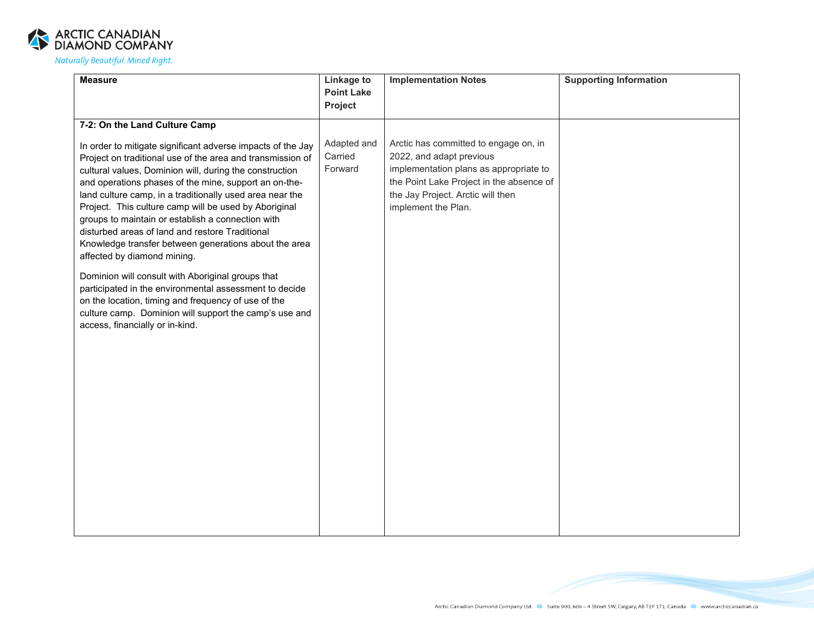

| <b>Measure</b>                                                                                                                                                                                                                                                                                                                                                                                                                                                                                                                                                                                                                                                                                                                                                                                                                        | <b>Linkage to</b><br><b>Point Lake</b> | <b>Implementation Notes</b>                                                                                                                                                                                         | <b>Supporting Information</b> |
|---------------------------------------------------------------------------------------------------------------------------------------------------------------------------------------------------------------------------------------------------------------------------------------------------------------------------------------------------------------------------------------------------------------------------------------------------------------------------------------------------------------------------------------------------------------------------------------------------------------------------------------------------------------------------------------------------------------------------------------------------------------------------------------------------------------------------------------|----------------------------------------|---------------------------------------------------------------------------------------------------------------------------------------------------------------------------------------------------------------------|-------------------------------|
|                                                                                                                                                                                                                                                                                                                                                                                                                                                                                                                                                                                                                                                                                                                                                                                                                                       | Project                                |                                                                                                                                                                                                                     |                               |
| 7-2: On the Land Culture Camp                                                                                                                                                                                                                                                                                                                                                                                                                                                                                                                                                                                                                                                                                                                                                                                                         |                                        |                                                                                                                                                                                                                     |                               |
| In order to mitigate significant adverse impacts of the Jay<br>Project on traditional use of the area and transmission of<br>cultural values, Dominion will, during the construction<br>and operations phases of the mine, support an on-the-<br>land culture camp, in a traditionally used area near the<br>Project. This culture camp will be used by Aboriginal<br>groups to maintain or establish a connection with<br>disturbed areas of land and restore Traditional<br>Knowledge transfer between generations about the area<br>affected by diamond mining.<br>Dominion will consult with Aboriginal groups that<br>participated in the environmental assessment to decide<br>on the location, timing and frequency of use of the<br>culture camp. Dominion will support the camp's use and<br>access, financially or in-kind. | Adapted and<br>Carried<br>Forward      | Arctic has committed to engage on, in<br>2022, and adapt previous<br>implementation plans as appropriate to<br>the Point Lake Project in the absence of<br>the Jay Project. Arctic will then<br>implement the Plan. |                               |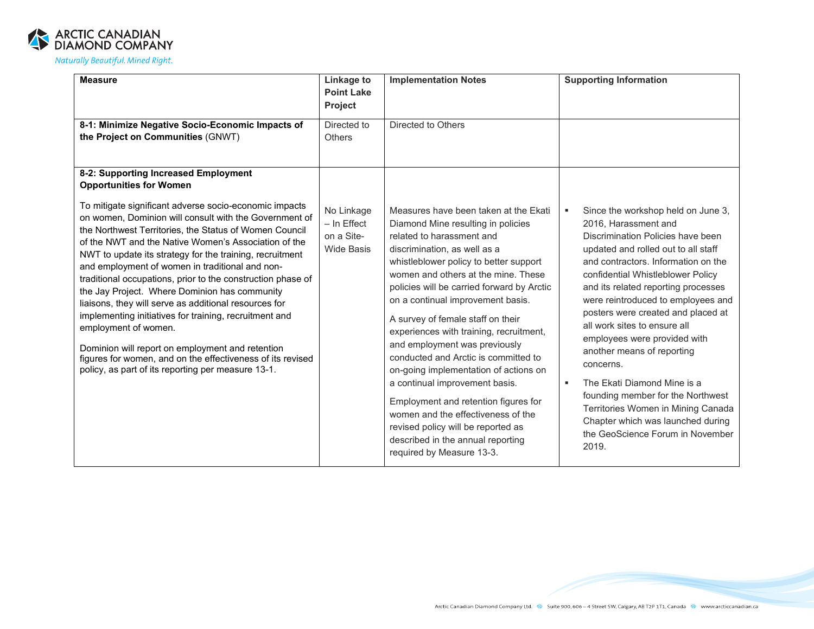

| Project<br>8-1: Minimize Negative Socio-Economic Impacts of<br>Directed to<br>the Project on Communities (GNWT)<br><b>Others</b>                                                                                                                                                                                                                                                                                                                                                                                                                                                                                                                                                                                                                                                                                                                                                                                                 | Directed to Others                                                                                                                                                                                                                                                                                                                                                                                                                                                                                                                                                                                                                                                                                        |                                                                                                                                                                                                                                                                                                                                                                                                                                                                                                                                                                                                                                                        |
|----------------------------------------------------------------------------------------------------------------------------------------------------------------------------------------------------------------------------------------------------------------------------------------------------------------------------------------------------------------------------------------------------------------------------------------------------------------------------------------------------------------------------------------------------------------------------------------------------------------------------------------------------------------------------------------------------------------------------------------------------------------------------------------------------------------------------------------------------------------------------------------------------------------------------------|-----------------------------------------------------------------------------------------------------------------------------------------------------------------------------------------------------------------------------------------------------------------------------------------------------------------------------------------------------------------------------------------------------------------------------------------------------------------------------------------------------------------------------------------------------------------------------------------------------------------------------------------------------------------------------------------------------------|--------------------------------------------------------------------------------------------------------------------------------------------------------------------------------------------------------------------------------------------------------------------------------------------------------------------------------------------------------------------------------------------------------------------------------------------------------------------------------------------------------------------------------------------------------------------------------------------------------------------------------------------------------|
| 8-2: Supporting Increased Employment<br><b>Opportunities for Women</b><br>To mitigate significant adverse socio-economic impacts<br>No Linkage<br>on women, Dominion will consult with the Government of<br>$-$ In Effect<br>the Northwest Territories, the Status of Women Council<br>on a Site-<br>of the NWT and the Native Women's Association of the<br><b>Wide Basis</b><br>NWT to update its strategy for the training, recruitment<br>and employment of women in traditional and non-<br>traditional occupations, prior to the construction phase of<br>the Jay Project. Where Dominion has community<br>liaisons, they will serve as additional resources for<br>implementing initiatives for training, recruitment and<br>employment of women.<br>Dominion will report on employment and retention<br>figures for women, and on the effectiveness of its revised<br>policy, as part of its reporting per measure 13-1. | Measures have been taken at the Ekati<br>Diamond Mine resulting in policies<br>related to harassment and<br>discrimination, as well as a<br>whistleblower policy to better support<br>women and others at the mine. These<br>policies will be carried forward by Arctic<br>on a continual improvement basis.<br>A survey of female staff on their<br>experiences with training, recruitment,<br>and employment was previously<br>conducted and Arctic is committed to<br>on-going implementation of actions on<br>a continual improvement basis.<br>Employment and retention figures for<br>women and the effectiveness of the<br>revised policy will be reported as<br>described in the annual reporting | Since the workshop held on June 3,<br>٠<br>2016, Harassment and<br>Discrimination Policies have been<br>updated and rolled out to all staff<br>and contractors. Information on the<br>confidential Whistleblower Policy<br>and its related reporting processes<br>were reintroduced to employees and<br>posters were created and placed at<br>all work sites to ensure all<br>employees were provided with<br>another means of reporting<br>concerns.<br>The Ekati Diamond Mine is a<br>٠<br>founding member for the Northwest<br>Territories Women in Mining Canada<br>Chapter which was launched during<br>the GeoScience Forum in November<br>2019. |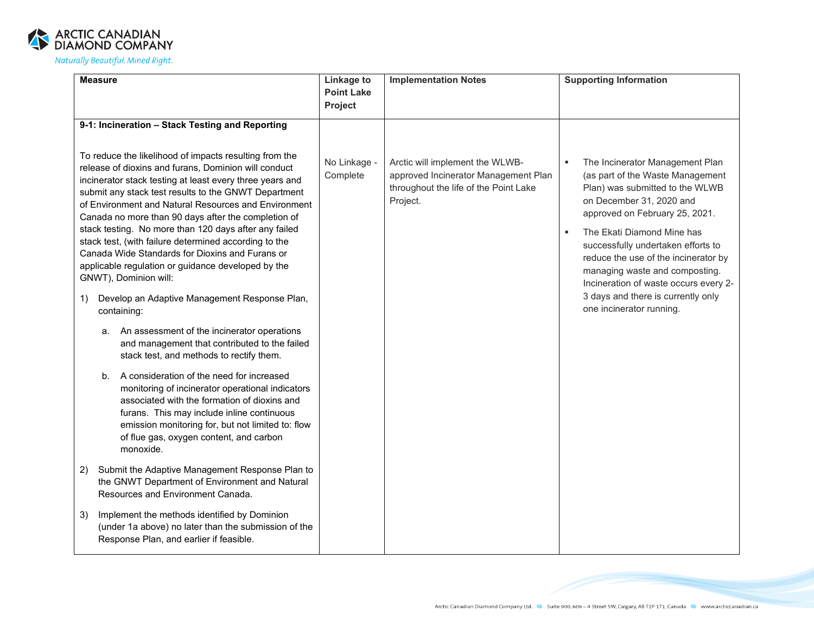

| <b>Measure</b>                                                                                                                                                                                                                                                                                                                                                                                                                                                                                                                                                                                                                                                                                                                                                                                                                                                                                                                                                                                                                                                                                                                                                                                                                                                                                                                                          | Linkage to<br><b>Point Lake</b>     | <b>Implementation Notes</b>                                                                                                  | <b>Supporting Information</b>                                                                                                                                                                                                                                                                                                                                                                                                 |
|---------------------------------------------------------------------------------------------------------------------------------------------------------------------------------------------------------------------------------------------------------------------------------------------------------------------------------------------------------------------------------------------------------------------------------------------------------------------------------------------------------------------------------------------------------------------------------------------------------------------------------------------------------------------------------------------------------------------------------------------------------------------------------------------------------------------------------------------------------------------------------------------------------------------------------------------------------------------------------------------------------------------------------------------------------------------------------------------------------------------------------------------------------------------------------------------------------------------------------------------------------------------------------------------------------------------------------------------------------|-------------------------------------|------------------------------------------------------------------------------------------------------------------------------|-------------------------------------------------------------------------------------------------------------------------------------------------------------------------------------------------------------------------------------------------------------------------------------------------------------------------------------------------------------------------------------------------------------------------------|
|                                                                                                                                                                                                                                                                                                                                                                                                                                                                                                                                                                                                                                                                                                                                                                                                                                                                                                                                                                                                                                                                                                                                                                                                                                                                                                                                                         |                                     |                                                                                                                              |                                                                                                                                                                                                                                                                                                                                                                                                                               |
| 9-1: Incineration - Stack Testing and Reporting<br>To reduce the likelihood of impacts resulting from the<br>release of dioxins and furans, Dominion will conduct<br>incinerator stack testing at least every three years and<br>submit any stack test results to the GNWT Department<br>of Environment and Natural Resources and Environment<br>Canada no more than 90 days after the completion of<br>stack testing. No more than 120 days after any failed<br>stack test, (with failure determined according to the<br>Canada Wide Standards for Dioxins and Furans or<br>applicable regulation or guidance developed by the<br>GNWT), Dominion will:<br>Develop an Adaptive Management Response Plan,<br>1)<br>containing:<br>An assessment of the incinerator operations<br>а.<br>and management that contributed to the failed<br>stack test, and methods to rectify them.<br>A consideration of the need for increased<br>$b_{1}$<br>monitoring of incinerator operational indicators<br>associated with the formation of dioxins and<br>furans. This may include inline continuous<br>emission monitoring for, but not limited to: flow<br>of flue gas, oxygen content, and carbon<br>monoxide.<br>Submit the Adaptive Management Response Plan to<br>2)<br>the GNWT Department of Environment and Natural<br>Resources and Environment Canada. | Project<br>No Linkage -<br>Complete | Arctic will implement the WLWB-<br>approved Incinerator Management Plan<br>throughout the life of the Point Lake<br>Project. | The Incinerator Management Plan<br>(as part of the Waste Management<br>Plan) was submitted to the WLWB<br>on December 31, 2020 and<br>approved on February 25, 2021.<br>The Ekati Diamond Mine has<br>successfully undertaken efforts to<br>reduce the use of the incinerator by<br>managing waste and composting.<br>Incineration of waste occurs every 2-<br>3 days and there is currently only<br>one incinerator running. |
| Implement the methods identified by Dominion<br>3)<br>(under 1a above) no later than the submission of the<br>Response Plan, and earlier if feasible.                                                                                                                                                                                                                                                                                                                                                                                                                                                                                                                                                                                                                                                                                                                                                                                                                                                                                                                                                                                                                                                                                                                                                                                                   |                                     |                                                                                                                              |                                                                                                                                                                                                                                                                                                                                                                                                                               |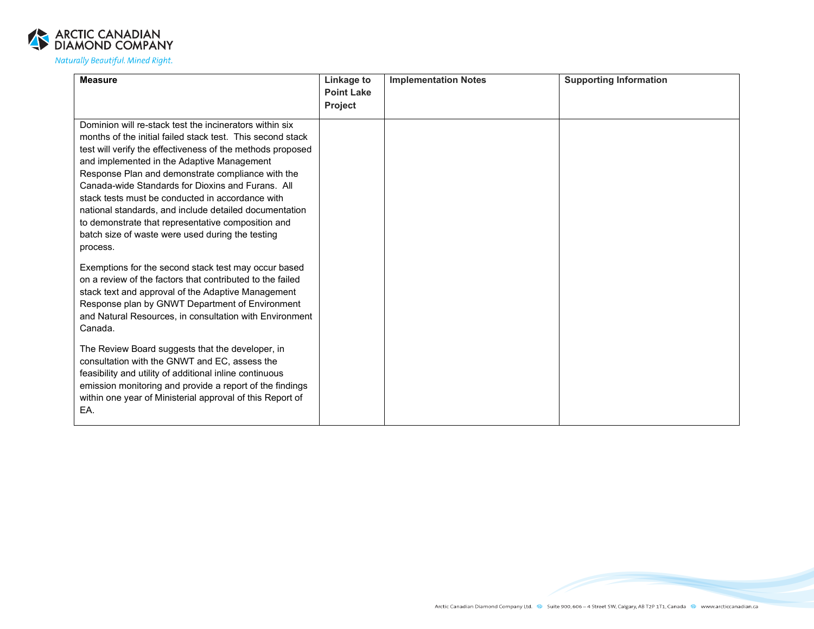

| <b>Measure</b>                                             | Linkage to                          | <b>Implementation Notes</b> | <b>Supporting Information</b> |
|------------------------------------------------------------|-------------------------------------|-----------------------------|-------------------------------|
|                                                            | <b>Point Lake</b><br><b>Project</b> |                             |                               |
|                                                            |                                     |                             |                               |
| Dominion will re-stack test the incinerators within six    |                                     |                             |                               |
| months of the initial failed stack test. This second stack |                                     |                             |                               |
| test will verify the effectiveness of the methods proposed |                                     |                             |                               |
| and implemented in the Adaptive Management                 |                                     |                             |                               |
| Response Plan and demonstrate compliance with the          |                                     |                             |                               |
| Canada-wide Standards for Dioxins and Furans. All          |                                     |                             |                               |
| stack tests must be conducted in accordance with           |                                     |                             |                               |
| national standards, and include detailed documentation     |                                     |                             |                               |
| to demonstrate that representative composition and         |                                     |                             |                               |
| batch size of waste were used during the testing           |                                     |                             |                               |
| process.                                                   |                                     |                             |                               |
| Exemptions for the second stack test may occur based       |                                     |                             |                               |
| on a review of the factors that contributed to the failed  |                                     |                             |                               |
| stack text and approval of the Adaptive Management         |                                     |                             |                               |
| Response plan by GNWT Department of Environment            |                                     |                             |                               |
| and Natural Resources, in consultation with Environment    |                                     |                             |                               |
| Canada.                                                    |                                     |                             |                               |
|                                                            |                                     |                             |                               |
| The Review Board suggests that the developer, in           |                                     |                             |                               |
| consultation with the GNWT and EC, assess the              |                                     |                             |                               |
| feasibility and utility of additional inline continuous    |                                     |                             |                               |
| emission monitoring and provide a report of the findings   |                                     |                             |                               |
| within one year of Ministerial approval of this Report of  |                                     |                             |                               |
| EA.                                                        |                                     |                             |                               |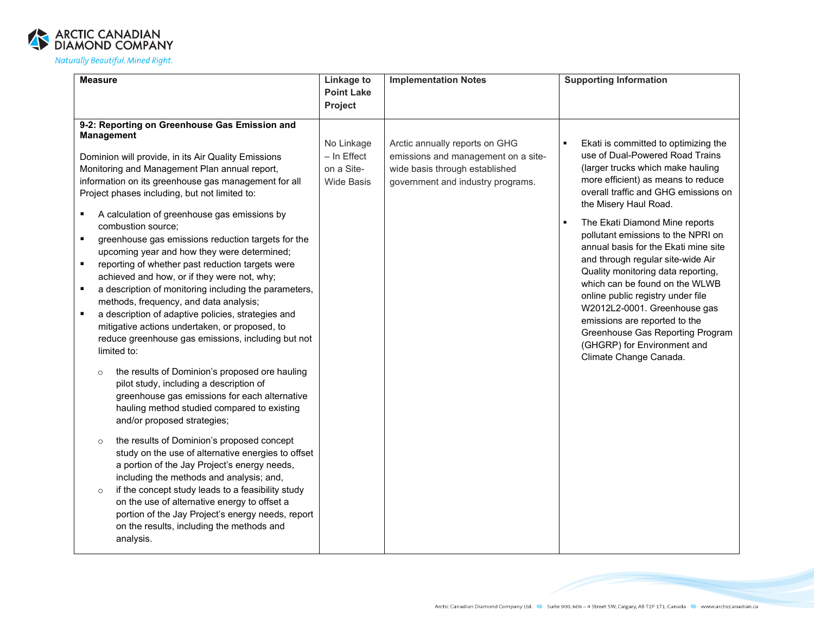

| <b>Measure</b>                                                                                                                                                                                                                                                                                                                                                                                                                                                                                                                                                                                                                                                                                                                                                                                                                                                                                                                                                                                                                                                                                                                                                                                                                                                                                   | Linkage to                                                     | <b>Implementation Notes</b>                                                                                                                  | <b>Supporting Information</b>                                                                                                                                                                                                                                                                                                                                                                                                                                                                                                                                                                                                                       |
|--------------------------------------------------------------------------------------------------------------------------------------------------------------------------------------------------------------------------------------------------------------------------------------------------------------------------------------------------------------------------------------------------------------------------------------------------------------------------------------------------------------------------------------------------------------------------------------------------------------------------------------------------------------------------------------------------------------------------------------------------------------------------------------------------------------------------------------------------------------------------------------------------------------------------------------------------------------------------------------------------------------------------------------------------------------------------------------------------------------------------------------------------------------------------------------------------------------------------------------------------------------------------------------------------|----------------------------------------------------------------|----------------------------------------------------------------------------------------------------------------------------------------------|-----------------------------------------------------------------------------------------------------------------------------------------------------------------------------------------------------------------------------------------------------------------------------------------------------------------------------------------------------------------------------------------------------------------------------------------------------------------------------------------------------------------------------------------------------------------------------------------------------------------------------------------------------|
|                                                                                                                                                                                                                                                                                                                                                                                                                                                                                                                                                                                                                                                                                                                                                                                                                                                                                                                                                                                                                                                                                                                                                                                                                                                                                                  | <b>Point Lake</b>                                              |                                                                                                                                              |                                                                                                                                                                                                                                                                                                                                                                                                                                                                                                                                                                                                                                                     |
|                                                                                                                                                                                                                                                                                                                                                                                                                                                                                                                                                                                                                                                                                                                                                                                                                                                                                                                                                                                                                                                                                                                                                                                                                                                                                                  | Project                                                        |                                                                                                                                              |                                                                                                                                                                                                                                                                                                                                                                                                                                                                                                                                                                                                                                                     |
| 9-2: Reporting on Greenhouse Gas Emission and<br><b>Management</b><br>Dominion will provide, in its Air Quality Emissions<br>Monitoring and Management Plan annual report,<br>information on its greenhouse gas management for all<br>Project phases including, but not limited to:<br>A calculation of greenhouse gas emissions by<br>combustion source;<br>greenhouse gas emissions reduction targets for the<br>$\blacksquare$<br>upcoming year and how they were determined;<br>reporting of whether past reduction targets were<br>$\blacksquare$<br>achieved and how, or if they were not, why;<br>a description of monitoring including the parameters,<br>٠<br>methods, frequency, and data analysis;<br>a description of adaptive policies, strategies and<br>mitigative actions undertaken, or proposed, to<br>reduce greenhouse gas emissions, including but not<br>limited to:<br>the results of Dominion's proposed ore hauling<br>$\circ$<br>pilot study, including a description of<br>greenhouse gas emissions for each alternative<br>hauling method studied compared to existing<br>and/or proposed strategies;<br>the results of Dominion's proposed concept<br>$\circ$<br>study on the use of alternative energies to offset<br>a portion of the Jay Project's energy needs, | No Linkage<br>$-$ In Effect<br>on a Site-<br><b>Wide Basis</b> | Arctic annually reports on GHG<br>emissions and management on a site-<br>wide basis through established<br>government and industry programs. | Ekati is committed to optimizing the<br>use of Dual-Powered Road Trains<br>(larger trucks which make hauling<br>more efficient) as means to reduce<br>overall traffic and GHG emissions on<br>the Misery Haul Road.<br>The Ekati Diamond Mine reports<br>pollutant emissions to the NPRI on<br>annual basis for the Ekati mine site<br>and through regular site-wide Air<br>Quality monitoring data reporting,<br>which can be found on the WLWB<br>online public registry under file<br>W2012L2-0001. Greenhouse gas<br>emissions are reported to the<br>Greenhouse Gas Reporting Program<br>(GHGRP) for Environment and<br>Climate Change Canada. |
| including the methods and analysis; and,<br>if the concept study leads to a feasibility study<br>$\circ$<br>on the use of alternative energy to offset a<br>portion of the Jay Project's energy needs, report<br>on the results, including the methods and<br>analysis.                                                                                                                                                                                                                                                                                                                                                                                                                                                                                                                                                                                                                                                                                                                                                                                                                                                                                                                                                                                                                          |                                                                |                                                                                                                                              |                                                                                                                                                                                                                                                                                                                                                                                                                                                                                                                                                                                                                                                     |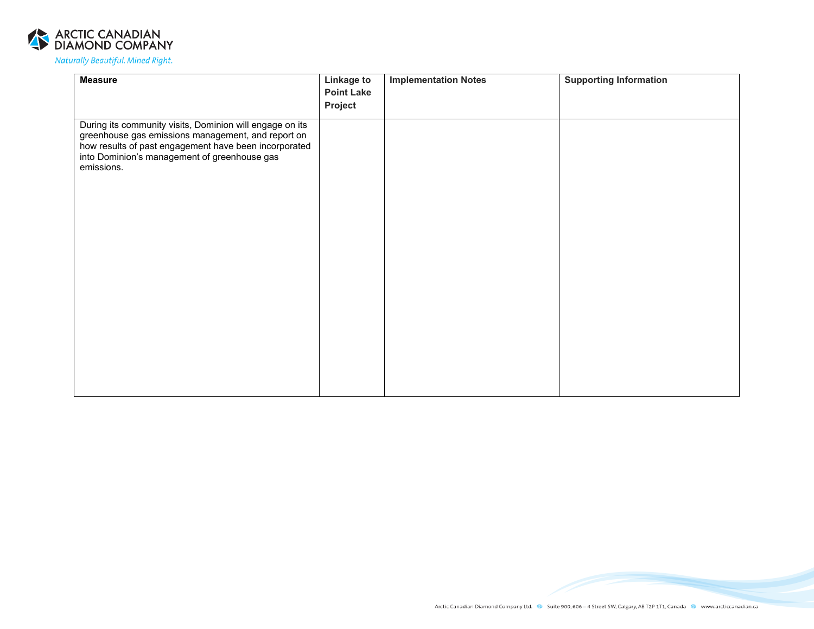

| <b>Measure</b>                                                                                                                                                                                                                        | <b>Linkage to</b><br><b>Point Lake</b> | <b>Implementation Notes</b> | <b>Supporting Information</b> |
|---------------------------------------------------------------------------------------------------------------------------------------------------------------------------------------------------------------------------------------|----------------------------------------|-----------------------------|-------------------------------|
|                                                                                                                                                                                                                                       | Project                                |                             |                               |
| During its community visits, Dominion will engage on its<br>greenhouse gas emissions management, and report on<br>how results of past engagement have been incorporated<br>into Dominion's management of greenhouse gas<br>emissions. |                                        |                             |                               |
|                                                                                                                                                                                                                                       |                                        |                             |                               |
|                                                                                                                                                                                                                                       |                                        |                             |                               |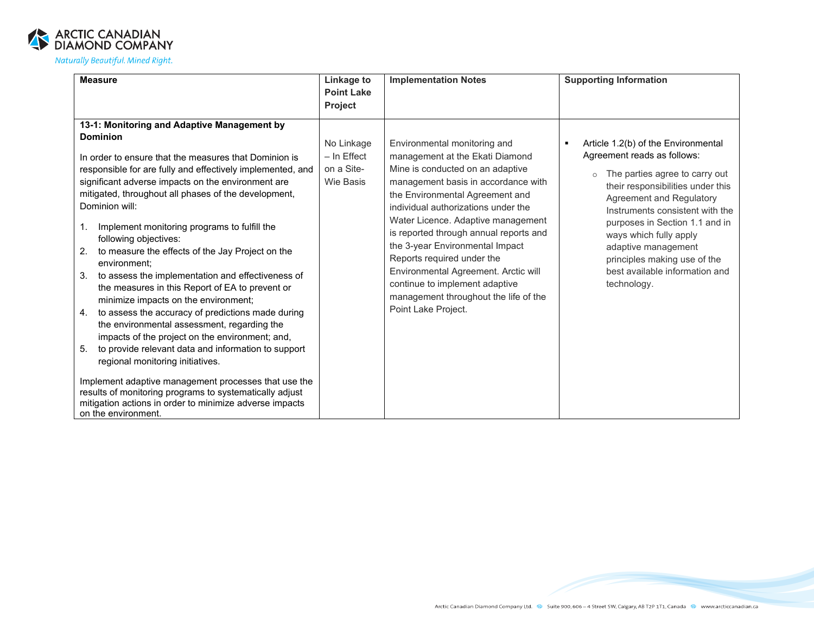

| <b>Measure</b>                                                                                                                                                                                                                                                                                                                                                                                                                                                                                                                                                                                                                                                                                                                                                                                                                                                                                                                                                                                                                                                                                          | Linkage to<br><b>Point Lake</b>                      | <b>Implementation Notes</b>                                                                                                                                                                                                                                                                                                                                                                                                                                                                                     | <b>Supporting Information</b>                                                                                                                                                                                                                                                                                                                                                     |
|---------------------------------------------------------------------------------------------------------------------------------------------------------------------------------------------------------------------------------------------------------------------------------------------------------------------------------------------------------------------------------------------------------------------------------------------------------------------------------------------------------------------------------------------------------------------------------------------------------------------------------------------------------------------------------------------------------------------------------------------------------------------------------------------------------------------------------------------------------------------------------------------------------------------------------------------------------------------------------------------------------------------------------------------------------------------------------------------------------|------------------------------------------------------|-----------------------------------------------------------------------------------------------------------------------------------------------------------------------------------------------------------------------------------------------------------------------------------------------------------------------------------------------------------------------------------------------------------------------------------------------------------------------------------------------------------------|-----------------------------------------------------------------------------------------------------------------------------------------------------------------------------------------------------------------------------------------------------------------------------------------------------------------------------------------------------------------------------------|
|                                                                                                                                                                                                                                                                                                                                                                                                                                                                                                                                                                                                                                                                                                                                                                                                                                                                                                                                                                                                                                                                                                         | <b>Project</b>                                       |                                                                                                                                                                                                                                                                                                                                                                                                                                                                                                                 |                                                                                                                                                                                                                                                                                                                                                                                   |
| 13-1: Monitoring and Adaptive Management by<br><b>Dominion</b><br>In order to ensure that the measures that Dominion is<br>responsible for are fully and effectively implemented, and<br>significant adverse impacts on the environment are<br>mitigated, throughout all phases of the development,<br>Dominion will:<br>Implement monitoring programs to fulfill the<br>1.<br>following objectives:<br>to measure the effects of the Jay Project on the<br>2.<br>environment:<br>to assess the implementation and effectiveness of<br>3.<br>the measures in this Report of EA to prevent or<br>minimize impacts on the environment;<br>to assess the accuracy of predictions made during<br>4.<br>the environmental assessment, regarding the<br>impacts of the project on the environment; and,<br>to provide relevant data and information to support<br>5.<br>regional monitoring initiatives.<br>Implement adaptive management processes that use the<br>results of monitoring programs to systematically adjust<br>mitigation actions in order to minimize adverse impacts<br>on the environment. | No Linkage<br>- In Effect<br>on a Site-<br>Wie Basis | Environmental monitoring and<br>management at the Ekati Diamond<br>Mine is conducted on an adaptive<br>management basis in accordance with<br>the Environmental Agreement and<br>individual authorizations under the<br>Water Licence. Adaptive management<br>is reported through annual reports and<br>the 3-year Environmental Impact<br>Reports required under the<br>Environmental Agreement. Arctic will<br>continue to implement adaptive<br>management throughout the life of the<br>Point Lake Project. | Article 1.2(b) of the Environmental<br>л<br>Agreement reads as follows:<br>The parties agree to carry out<br>their responsibilities under this<br>Agreement and Regulatory<br>Instruments consistent with the<br>purposes in Section 1.1 and in<br>ways which fully apply<br>adaptive management<br>principles making use of the<br>best available information and<br>technology. |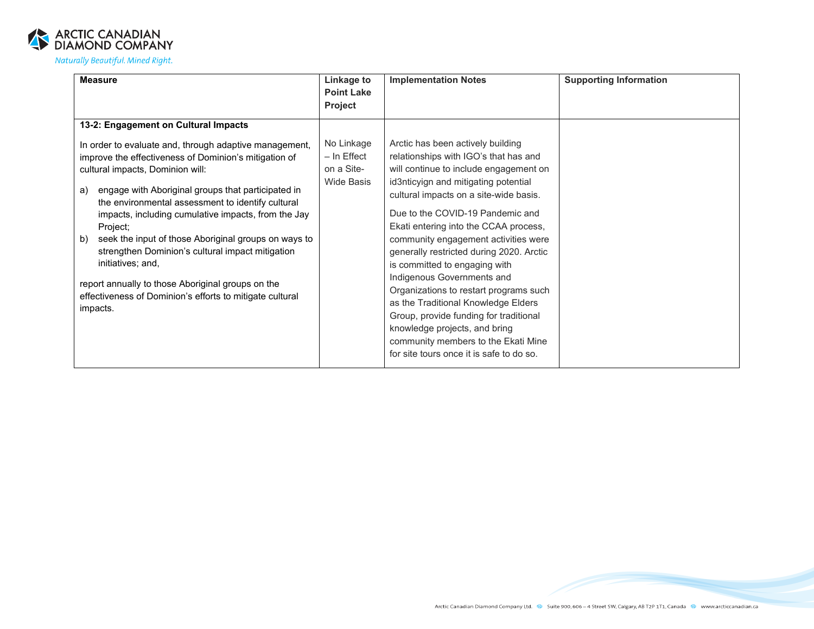

| <b>Measure</b>                                                                                                                                                                                                                                                                                                                                                                                                                                                                                                                                                                                                                                      | Linkage to<br><b>Point Lake</b><br><b>Project</b>              | <b>Implementation Notes</b>                                                                                                                                                                                                                                                                                                                                                                                                                                                                                                                                                                                                                                                           | <b>Supporting Information</b> |
|-----------------------------------------------------------------------------------------------------------------------------------------------------------------------------------------------------------------------------------------------------------------------------------------------------------------------------------------------------------------------------------------------------------------------------------------------------------------------------------------------------------------------------------------------------------------------------------------------------------------------------------------------------|----------------------------------------------------------------|---------------------------------------------------------------------------------------------------------------------------------------------------------------------------------------------------------------------------------------------------------------------------------------------------------------------------------------------------------------------------------------------------------------------------------------------------------------------------------------------------------------------------------------------------------------------------------------------------------------------------------------------------------------------------------------|-------------------------------|
| 13-2: Engagement on Cultural Impacts<br>In order to evaluate and, through adaptive management,<br>improve the effectiveness of Dominion's mitigation of<br>cultural impacts, Dominion will:<br>engage with Aboriginal groups that participated in<br>a)<br>the environmental assessment to identify cultural<br>impacts, including cumulative impacts, from the Jay<br>Project;<br>seek the input of those Aboriginal groups on ways to<br>b)<br>strengthen Dominion's cultural impact mitigation<br>initiatives; and,<br>report annually to those Aboriginal groups on the<br>effectiveness of Dominion's efforts to mitigate cultural<br>impacts. | No Linkage<br>$-$ In Effect<br>on a Site-<br><b>Wide Basis</b> | Arctic has been actively building<br>relationships with IGO's that has and<br>will continue to include engagement on<br>id3nticyign and mitigating potential<br>cultural impacts on a site-wide basis.<br>Due to the COVID-19 Pandemic and<br>Ekati entering into the CCAA process,<br>community engagement activities were<br>generally restricted during 2020. Arctic<br>is committed to engaging with<br>Indigenous Governments and<br>Organizations to restart programs such<br>as the Traditional Knowledge Elders<br>Group, provide funding for traditional<br>knowledge projects, and bring<br>community members to the Ekati Mine<br>for site tours once it is safe to do so. |                               |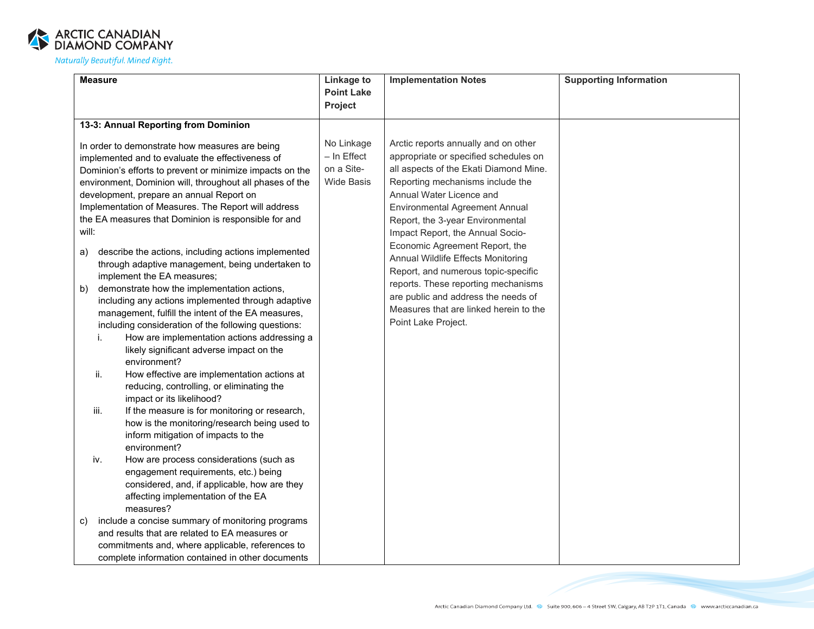

| <b>Measure</b>                                                                                                                                                                                                                                                                                                                                                                                                                                                                                                                                                                                                                                                                                                                                                                                                                                                                         | Linkage to                                                     | <b>Implementation Notes</b>                                                                                                                                                                                                                                                                                                                                                                                                                                                                                                                                            | <b>Supporting Information</b> |
|----------------------------------------------------------------------------------------------------------------------------------------------------------------------------------------------------------------------------------------------------------------------------------------------------------------------------------------------------------------------------------------------------------------------------------------------------------------------------------------------------------------------------------------------------------------------------------------------------------------------------------------------------------------------------------------------------------------------------------------------------------------------------------------------------------------------------------------------------------------------------------------|----------------------------------------------------------------|------------------------------------------------------------------------------------------------------------------------------------------------------------------------------------------------------------------------------------------------------------------------------------------------------------------------------------------------------------------------------------------------------------------------------------------------------------------------------------------------------------------------------------------------------------------------|-------------------------------|
|                                                                                                                                                                                                                                                                                                                                                                                                                                                                                                                                                                                                                                                                                                                                                                                                                                                                                        | <b>Point Lake</b>                                              |                                                                                                                                                                                                                                                                                                                                                                                                                                                                                                                                                                        |                               |
|                                                                                                                                                                                                                                                                                                                                                                                                                                                                                                                                                                                                                                                                                                                                                                                                                                                                                        | Project                                                        |                                                                                                                                                                                                                                                                                                                                                                                                                                                                                                                                                                        |                               |
| 13-3: Annual Reporting from Dominion                                                                                                                                                                                                                                                                                                                                                                                                                                                                                                                                                                                                                                                                                                                                                                                                                                                   |                                                                |                                                                                                                                                                                                                                                                                                                                                                                                                                                                                                                                                                        |                               |
| In order to demonstrate how measures are being<br>implemented and to evaluate the effectiveness of<br>Dominion's efforts to prevent or minimize impacts on the<br>environment, Dominion will, throughout all phases of the<br>development, prepare an annual Report on<br>Implementation of Measures. The Report will address<br>the EA measures that Dominion is responsible for and<br>will:<br>describe the actions, including actions implemented<br>a)<br>through adaptive management, being undertaken to<br>implement the EA measures;<br>demonstrate how the implementation actions,<br>b)<br>including any actions implemented through adaptive<br>management, fulfill the intent of the EA measures,<br>including consideration of the following questions:<br>How are implementation actions addressing a<br>i.<br>likely significant adverse impact on the<br>environment? | No Linkage<br>$-$ In Effect<br>on a Site-<br><b>Wide Basis</b> | Arctic reports annually and on other<br>appropriate or specified schedules on<br>all aspects of the Ekati Diamond Mine.<br>Reporting mechanisms include the<br>Annual Water Licence and<br><b>Environmental Agreement Annual</b><br>Report, the 3-year Environmental<br>Impact Report, the Annual Socio-<br>Economic Agreement Report, the<br>Annual Wildlife Effects Monitoring<br>Report, and numerous topic-specific<br>reports. These reporting mechanisms<br>are public and address the needs of<br>Measures that are linked herein to the<br>Point Lake Project. |                               |
| How effective are implementation actions at<br>ii.<br>reducing, controlling, or eliminating the<br>impact or its likelihood?<br>iii.<br>If the measure is for monitoring or research,<br>how is the monitoring/research being used to<br>inform mitigation of impacts to the<br>environment?<br>iv.<br>How are process considerations (such as<br>engagement requirements, etc.) being<br>considered, and, if applicable, how are they<br>affecting implementation of the EA<br>measures?                                                                                                                                                                                                                                                                                                                                                                                              |                                                                |                                                                                                                                                                                                                                                                                                                                                                                                                                                                                                                                                                        |                               |
| include a concise summary of monitoring programs<br>C)<br>and results that are related to EA measures or<br>commitments and, where applicable, references to<br>complete information contained in other documents                                                                                                                                                                                                                                                                                                                                                                                                                                                                                                                                                                                                                                                                      |                                                                |                                                                                                                                                                                                                                                                                                                                                                                                                                                                                                                                                                        |                               |